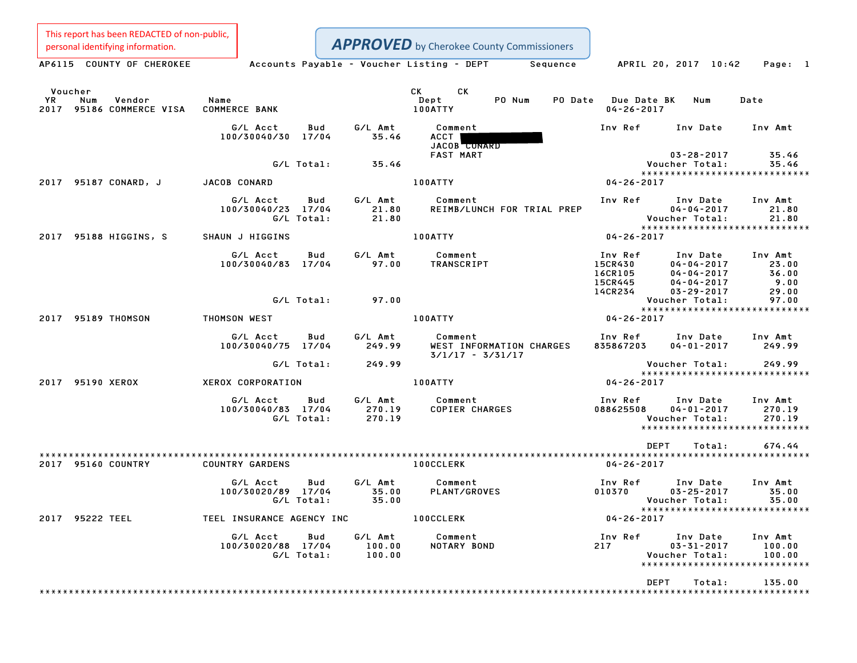This report has been REDACTED of non-public, personal identifying information.

**APPROVED** by Cherokee County Commissioners

AP6115 COUNTY OF CHEROKEE Accounts Payable - Voucher Listing - DEPT Sequence APRIL 20, 2017 10:42 Page: 1

|            | Voucher          |                               |                                            |                   |                             | CK CK                            |                            |                                                     |                                                                                          |                                                               |
|------------|------------------|-------------------------------|--------------------------------------------|-------------------|-----------------------------|----------------------------------|----------------------------|-----------------------------------------------------|------------------------------------------------------------------------------------------|---------------------------------------------------------------|
| YR<br>2017 | Num              | Vendor<br>95186 COMMERCE VISA | Name<br><b>COMMERCE BANK</b>               |                   |                             | Dept<br><b>100ATTY</b>           | PO Num                     | PO Date Due Date BK<br>$04 - 26 - 2017$             | Num                                                                                      | Date                                                          |
|            |                  |                               | G/L Acct<br>100/30040/30 17/04             | Bud               | G/L Amt<br>35.46            | Comment<br>ACCT<br>JACOB CONARD  |                            | Inv Ref                                             | Inv Date                                                                                 | Inv Amt                                                       |
|            |                  |                               |                                            | G/L Total:        | 35.46                       | <b>FAST MART</b>                 |                            |                                                     | $03 - 28 - 2017$<br>Voucher Total:                                                       | 35.46<br>35.46                                                |
|            |                  |                               |                                            |                   |                             |                                  |                            |                                                     |                                                                                          | ******************************                                |
|            |                  | 2017 95187 CONARD, J          | JACOB CONARD                               |                   |                             | <b>100ATTY</b>                   |                            | $04 - 26 - 2017$                                    |                                                                                          |                                                               |
|            |                  |                               | G/L Acct<br>100/30040/23 17/04             | Bud<br>G/L Total: | G/L Amt<br>21.80<br>21.80   | Comment                          | REIMB/LUNCH FOR TRIAL PREP | Inv Ref                                             | Inv Date<br>$04 - 04 - 2017$<br>Voucher Total:                                           | Inv Amt<br>21.80<br>21.80<br>*****************************    |
|            |                  | 2017 95188 HIGGINS, S         | SHAUN J HIGGINS                            |                   |                             | <b>100ATTY</b>                   |                            | $04 - 26 - 2017$                                    |                                                                                          |                                                               |
|            |                  |                               | G/L Acct<br>100/30040/83 17/04             | Bud               | G/L Amt<br>97.00            | Comment<br>TRANSCRIPT            |                            | Inv Ref<br>15CR430<br>16CR105<br>15CR445<br>14CR234 | Inv Date<br>$04 - 04 - 2017$<br>$04 - 04 - 2017$<br>$04 - 04 - 2017$<br>$03 - 29 - 2017$ | Inv Amt<br>23.00<br>36.00<br>$9.00$<br>29.00<br>29.00         |
|            |                  |                               |                                            | G/L Total:        | 97.00                       |                                  |                            |                                                     | Voucher Total:                                                                           | 97.00                                                         |
|            |                  | 2017 95189 THOMSON            | THOMSON WEST                               |                   |                             | 100ATTY                          |                            | $04 - 26 - 2017$                                    |                                                                                          | ******************************                                |
|            |                  |                               |                                            |                   |                             |                                  |                            |                                                     |                                                                                          |                                                               |
|            |                  |                               | G/L Acct<br>100/30040/75 17/04             | Bud               | G/L Amt<br>249.99           | Comment<br>$3/1/17 - 3/31/17$    | WEST INFORMATION CHARGES   | 835867203                                           | Inv Ref Inv Date<br>$04 - 01 - 2017$                                                     | Inv Amt<br>249.99                                             |
|            |                  |                               |                                            | G/L Total:        | 249.99                      |                                  |                            |                                                     | Voucher Total:                                                                           | 249.99                                                        |
|            | 2017 95190 XEROX |                               | <b>XEROX CORPORATION</b>                   |                   |                             | <b>100ATTY</b>                   |                            | 04-26-2017                                          |                                                                                          | *****************************                                 |
|            |                  |                               |                                            |                   |                             |                                  |                            |                                                     |                                                                                          |                                                               |
|            |                  |                               | G/L Acct<br>100/30040/83 17/04             | Bud<br>G/L Total: | G/L Amt<br>270.19<br>270.19 | Comment<br><b>COPIER CHARGES</b> |                            | Inv Ref<br>088625508                                | Inv Date<br>$04 - 01 - 2017$<br>Voucher Total:                                           | Inv Amt<br>270.19<br>270.19<br>****************************** |
|            |                  |                               |                                            |                   |                             |                                  |                            | <b>DEPT</b>                                         | Total:                                                                                   | 674.44                                                        |
|            |                  | 2017 95160 COUNTRY            | <b>COUNTRY GARDENS</b>                     |                   |                             | <b>100CCLERK</b>                 |                            | $04 - 26 - 2017$                                    |                                                                                          |                                                               |
|            |                  |                               | G/L Acct<br>100/30020/89 17/04             | Bud<br>G/L Total: | G/L Amt<br>35.00<br>35.00   | Comment<br>PLANT/GROVES          |                            | Inv Ref      Inv Date<br>010370                     | $03 - 25 - 2017$<br>Voucher Total:                                                       | Inv Amt<br>35.00<br>35.00<br>*****************************    |
|            | 2017 95222 TEEL  |                               | TEEL INSURANCE AGENCY INC <b>100CCLERK</b> |                   |                             |                                  |                            | $04 - 26 - 2017$                                    |                                                                                          |                                                               |
|            |                  |                               | G/L Acct<br>100/30020/88 17/04             | Bud<br>G/L Total: | G/L Amt<br>100.00<br>100.00 | Comment<br>NOTARY BOND           |                            | Inv Ref<br>217                                      | Inv Date<br>$03 - 31 - 2017$<br>Voucher Total:                                           | Inv Amt<br>100.00<br>100.00<br>*****************************  |
|            |                  |                               |                                            |                   |                             |                                  |                            | <b>DEPT</b>                                         | Total:                                                                                   | 135.00                                                        |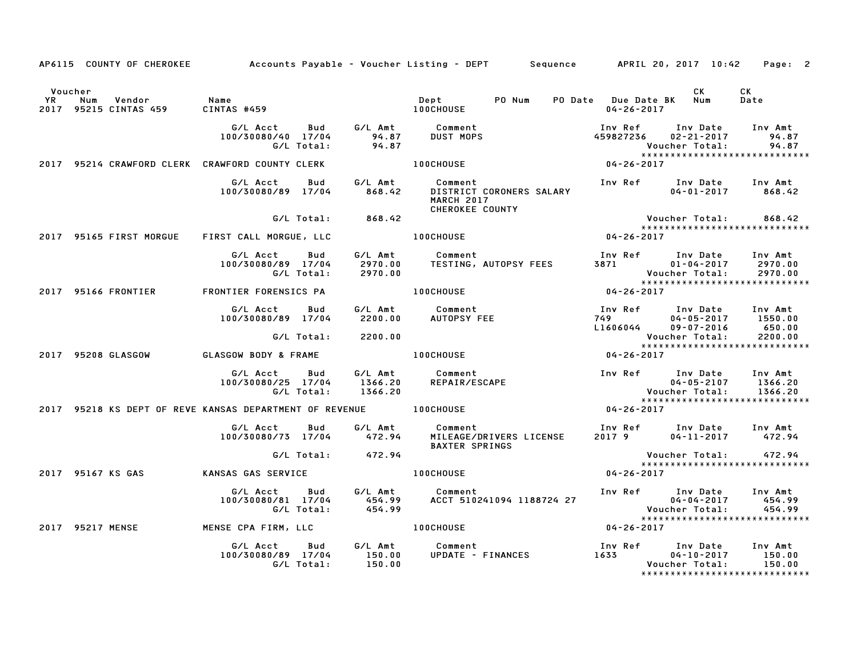|         | AP6115 COUNTY OF CHEROKEE Accounts Payable - Voucher Listing - DEPT Sequence APRIL 20, 2017 10:42 Page: 2 |                                                 |            |                          |                                                                                                                                                                                                                                                              |                  |                                                                                                           |                         |                                                   |
|---------|-----------------------------------------------------------------------------------------------------------|-------------------------------------------------|------------|--------------------------|--------------------------------------------------------------------------------------------------------------------------------------------------------------------------------------------------------------------------------------------------------------|------------------|-----------------------------------------------------------------------------------------------------------|-------------------------|---------------------------------------------------|
| Voucher | YR Num Vendor - Name<br>2017 95215 CINTAS 459 - CINTAS #                                                  |                                                 |            |                          |                                                                                                                                                                                                                                                              |                  | $04 - 26 - 2017$                                                                                          | <b>CK</b>               | CK<br>Date                                        |
|         |                                                                                                           | 100/30080/40 17/04                              |            |                          |                                                                                                                                                                                                                                                              |                  | Inv Ref Inv Date Inv Amt<br>459827236 02-21-2017                                                          |                         | 94.87                                             |
|         | 2017 95214 CRAWFORD CLERK CRAWFORD COUNTY CLERK 100CHOUSE 100CHOUSE 04-26-2017                            |                                                 |            |                          |                                                                                                                                                                                                                                                              |                  |                                                                                                           |                         |                                                   |
|         |                                                                                                           |                                                 |            |                          | المادة المستوى المستوى المستوى المستوى المستوى المستوى المستوى المستوى المستوى المستوى المستوى المستوى المستوى<br>2011-2017 100/30080/89 17/04 1868.42 DISTRICT CORONERS SALARY<br>مستوى المستوى المستوى المستوى المستوى المستوى ا<br><b>CHEROKEE COUNTY</b> |                  |                                                                                                           | $04 - 01 - 2017$ 868.42 |                                                   |
|         |                                                                                                           |                                                 |            | G/L Total: 868.42        |                                                                                                                                                                                                                                                              |                  |                                                                                                           | Voucher Total: 868.42   | *****************************                     |
|         | 2017 95165 FIRST MORGUE FIRST CALL MORGUE, LLC                                                            |                                                 |            |                          | <b>100CHOUSE</b>                                                                                                                                                                                                                                             | $04 - 26 - 2017$ |                                                                                                           |                         |                                                   |
|         |                                                                                                           | G/L Acct Bud<br>100/30080/89 17/04              | G/L Total: |                          |                                                                                                                                                                                                                                                              |                  |                                                                                                           |                         |                                                   |
|         | 2017 95166 FRONTIER FRONTIER FORENSICS PA                                                                 |                                                 |            |                          | <b>100CHOUSE</b>                                                                                                                                                                                                                                             |                  | $04 - 26 - 2017$                                                                                          |                         |                                                   |
|         |                                                                                                           | G/L Acct<br>100/30080/89 17/04                  | Bud        | G/L Total: 2200.00       |                                                                                                                                                                                                                                                              |                  | Inv Ref      Inv Date     Inv Amt<br>749                  04-05-2017       1550.00<br>L1606044 09-07-2016 | Voucher Total:          | 650.00<br>2200.00                                 |
|         | 2017 95208 GLASGOW                                                                                        | <b>GLASGOW BODY &amp; FRAME</b>                 |            |                          | <b>100CHOUSE</b>                                                                                                                                                                                                                                             |                  | $04 - 26 - 2017$                                                                                          |                         | *****************************                     |
|         |                                                                                                           |                                                 |            |                          |                                                                                                                                                                                                                                                              |                  |                                                                                                           |                         |                                                   |
|         |                                                                                                           |                                                 |            | G/L Total:       1366.20 | G/L Acct  Bud  G/L Amt  Comment<br>100/30080/25  17/04  1366.20  REPAIR/ESCAPE                                                                                                                                                                               |                  |                                                                                                           |                         |                                                   |
|         | 2017 95218 KS DEPT OF REVE KANSAS DEPARTMENT OF REVENUE 100CHOUSE                                         |                                                 |            |                          |                                                                                                                                                                                                                                                              |                  | $04 - 26 - 2017$                                                                                          |                         |                                                   |
|         |                                                                                                           | G/L Acct<br>100/30080/73 17/04 472.94           | <b>Bud</b> |                          | G/L Amt Comment<br>MILEAGE/DRIVERS LICENSE<br><b>BAXTER SPRINGS</b>                                                                                                                                                                                          |                  |                                                                                                           |                         |                                                   |
|         |                                                                                                           |                                                 |            | G/L Total: 472.94        |                                                                                                                                                                                                                                                              |                  | Voucher Total: 472.94                                                                                     |                         | *****************************                     |
|         | 2017 95167 KS GAS                                                                                         | KANSAS GAS SERVICE <b>And LONGITY</b> 100CHOUSE |            |                          |                                                                                                                                                                                                                                                              |                  | $04 - 26 - 2017$                                                                                          |                         |                                                   |
|         |                                                                                                           |                                                 |            |                          | 6/L Acct Bud G/L Amt Comment Inv Ref Inv Date Inv Amt<br>100/30080/81 17/04 454.99 ACCT 510241094 1188724 27 04-04-2017 454.99<br>6/L Total: 454.99 ACCT 510241094 1188724 27 Voucher Total: 454.99<br>********************************                      |                  |                                                                                                           |                         | *****************************                     |
|         | 2017 95217 MENSE                                                                                          | MENSE CPA FIRM, LLC                             |            |                          | 100CHOUSE                                                                                                                                                                                                                                                    |                  | $04 - 26 - 2017$                                                                                          |                         |                                                   |
|         |                                                                                                           |                                                 |            |                          | 100/30080/89 17/04 150.00 Comment Inv Ref Inv Date Inv Amt<br>100/30080/89 17/04 150.00 UPDATE -FINANCES 1633 04-10-2017 150.00<br>6/L Total: 150.00                                                                                                         |                  |                                                                                                           |                         | 150.00<br>150.00<br>***************************** |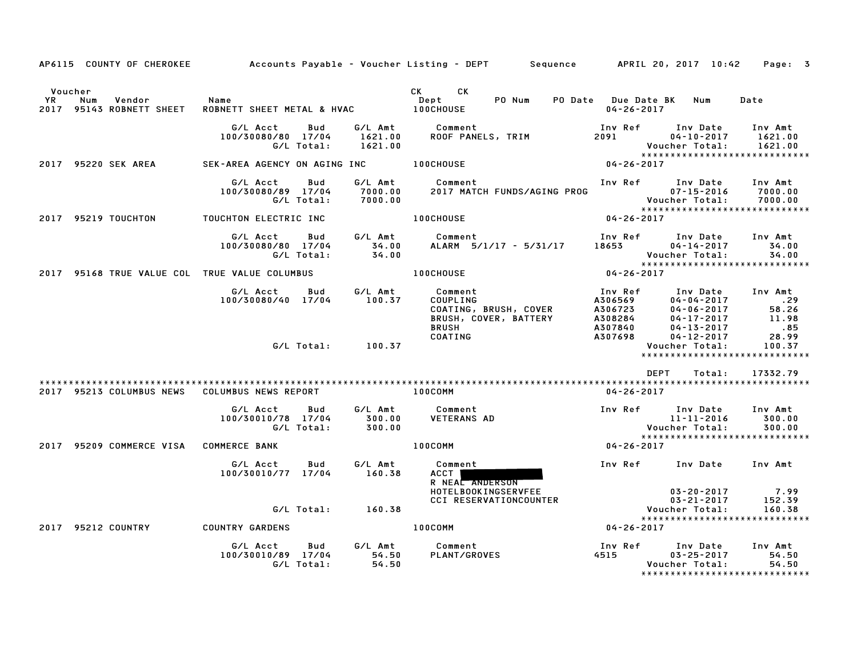| AP6115 COUNTY OF CHEROKEE                                  |                                                     |                               | Accounts Payable – Voucher Listing – DEPT         Sequence         APRIL 20, 2017  10:42     |                                                                                             |                                                                                          | Page: 3                                 |
|------------------------------------------------------------|-----------------------------------------------------|-------------------------------|----------------------------------------------------------------------------------------------|---------------------------------------------------------------------------------------------|------------------------------------------------------------------------------------------|-----------------------------------------|
| Voucher<br>YR<br>Num<br>Vendor<br>2017 95143 ROBNETT SHEET | Name<br>ROBNETT SHEET METAL & HVAC                  |                               | CK <sub>2</sub><br>CK<br>PO Num<br>Dept<br><b>100CHOUSE</b>                                  | $04 - 26 - 2017$                                                                            | PO Date Due Date BK Num                                                                  | Date                                    |
|                                                            | G/L Acct<br>Bud<br>100/30080/80 17/04<br>G/L Total: | 1621.00<br>1621.00            | G/L Amt Comment<br>ROOF PANELS, TRIM                                                         | Inv Ref<br>2091 — 2091 — 2002 — 2003 — 2004 — 2005 — 2004 — 2005 — 2006 — 2014 — 2014 — 202 | Inv Date<br>$04 - 10 - 2017$<br>Voucher Total:                                           | Inv Amt<br>1621.00<br>1621.00           |
| 2017 95220 SEK AREA                                        | SEK-AREA AGENCY ON AGING INC 100CHOUSE              |                               |                                                                                              | 04-26-2017                                                                                  | *****************************                                                            |                                         |
|                                                            | Bud<br>G/L Acct<br>100/30080/89 17/04<br>G/L Total: | G/L Amt<br>7000.00<br>7000.00 | Comment<br>2017 MATCH FUNDS/AGING PROG                                                       | Inv Ref                                                                                     | Inv Date<br>$07 - 15 - 2016$<br>Voucher Total: 7000.00<br>****************************   | Inv Amt<br>7000.00                      |
| 2017 95219 TOUCHTON                                        | TOUCHTON ELECTRIC INC                               |                               | <b>100CHOUSE</b>                                                                             | $04 - 26 - 2017$                                                                            |                                                                                          |                                         |
|                                                            | G/L Acct<br>Bud<br>100/30080/80 17/04<br>G/L Total: | G/L Amt<br>34.00<br>34.00     | Comment<br>ALARM 5/1/17 - 5/31/17                                                            | Inv Ref<br>18653                                                                            | Inv Date<br>$04 - 14 - 2017$<br>Voucher Total:                                           | Inv Amt<br>34.00<br>34.00               |
| 2017 95168 TRUE VALUE COL TRUE VALUE COLUMBUS              |                                                     |                               | <b>100CHOUSE</b>                                                                             | $04 - 26 - 2017$                                                                            | *****************************                                                            |                                         |
|                                                            | G/L Acct Bud<br>100/30080/40 17/04                  | G/L Amt<br>100.37             | Comment<br><b>COUPLING</b><br>COATING, BRUSH, COVER<br>BRUSH, COVER, BATTERY<br><b>BRUSH</b> | Inv Ref<br>A306569<br>A306969<br>A306723<br>A308284<br>A308284<br>A307840                   | Inv Date<br>$04 - 04 - 2017$<br>$04 - 06 - 2017$<br>$04 - 17 - 2017$<br>$04 - 13 - 2017$ | Inv Amt<br>29.<br>58.26<br>11.98<br>.85 |
|                                                            | G/L Total:                                          | 100.37                        | COATING                                                                                      | A307698                                                                                     | $04 - 12 - 2017$<br><b>Voucher Total:</b><br>*****************************               | 28.99<br>100.37                         |
|                                                            |                                                     |                               |                                                                                              |                                                                                             | <b>DEPT</b><br>Total:                                                                    | 17332.79                                |
| 2017 95213 COLUMBUS NEWS                                   | COLUMBUS NEWS REPORT                                |                               | 100COMM                                                                                      | $04 - 26 - 2017$                                                                            |                                                                                          |                                         |
|                                                            | G/L Acct<br>Bud<br>100/30010/78 17/04<br>G/L Total: | G/L Amt<br>300.00<br>300.00   | Comment<br><b>VETERANS AD</b>                                                                | Inv Ref                                                                                     | Inv Date<br>11-11-2016<br>Voucher Total:                                                 | Inv Amt<br>300.00<br>300.00             |
| 2017 95209 COMMERCE VISA                                   | <b>COMMERCE BANK</b>                                |                               | <b>100COMM</b>                                                                               | $04 - 26 - 2017$                                                                            | *****************************                                                            |                                         |
|                                                            | G/L Acct<br>Bud<br>100/30010/77 17/04               | G/L Amt<br>160.38             | Comment<br>ACCT  <br>R NEAL ANDERSON<br><b>HOTELBOOKINGSERVFEE</b>                           | Inv Ref                                                                                     | Inv Date<br>$03 - 20 - 2017$                                                             | Inv Amt<br>7.99                         |
|                                                            | G/L Total:                                          | 160.38                        | CCI RESERVATIONCOUNTER                                                                       |                                                                                             | $03 - 21 - 2017$<br>Voucher Total:<br>*****************************                      | 152.39<br>160.38                        |
| 2017 95212 COUNTRY                                         | <b>COUNTRY GARDENS</b>                              |                               | 100COMM                                                                                      | 04-26-2017                                                                                  |                                                                                          |                                         |
|                                                            | G/L Acct<br>Bud<br>100/30010/89 17/04<br>G/L Total: | G/L Amt<br>54.50<br>54.50     | Comment<br>PLANT/GROVES                                                                      | Inv Ref<br>4515                                                                             | Inv Date<br>$03 - 25 - 2017$<br>Voucher Total:                                           | Inv Amt<br>54.50<br>54.50               |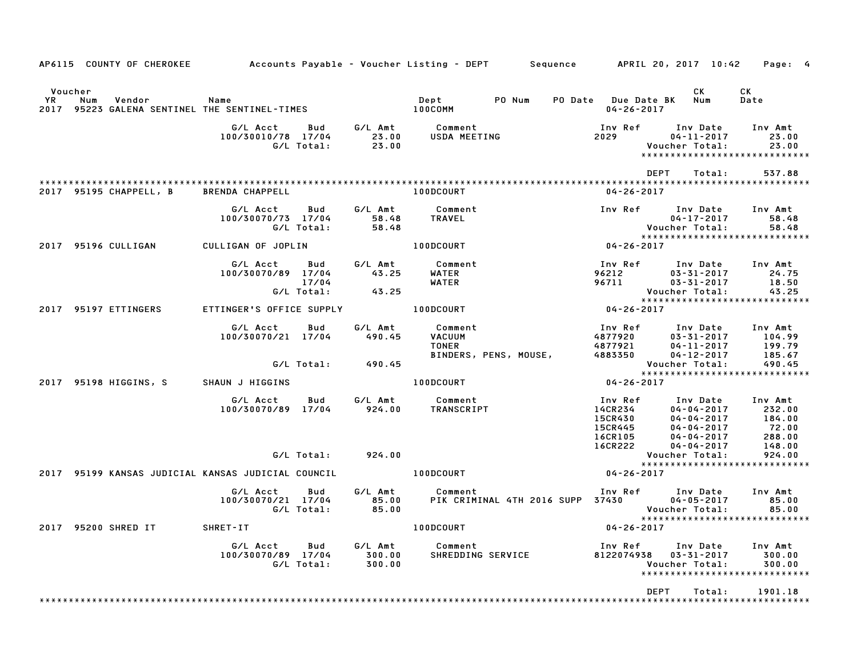|         |                                  |                              | AP6115 COUNTY OF CHEROKEE Accounts Payable – Voucher Listing – DEPT Sequence APRIL 20, 2017 10:42 |                                   |                             |                                                           |                                |                                                              |                                                                                                                                     | Page: 4                                        |
|---------|----------------------------------|------------------------------|---------------------------------------------------------------------------------------------------|-----------------------------------|-----------------------------|-----------------------------------------------------------|--------------------------------|--------------------------------------------------------------|-------------------------------------------------------------------------------------------------------------------------------------|------------------------------------------------|
| Voucher |                                  |                              |                                                                                                   |                                   |                             |                                                           |                                | PO Date Due Date BK Num<br>04-26-2017                        | CK                                                                                                                                  | CK<br>Date                                     |
|         |                                  |                              | G/L Acct   Bud<br>100/30010/78 17/04                                                              | G/L Total:                        | 23.00<br>23.00              | G/L Amt Comment<br>USDA MEETING                           |                                | 2029 702                                                     | Inv Ref      Inv Date<br>04-11-2017<br>Voucher Total:<br>*****************************                                              | Inv Amt<br>23.00<br>23.00                      |
|         |                                  | 2017 95195 CHAPPELL, B       | BRENDA CHAPPELL                                                                                   |                                   |                             | 100DCOURT                                                 |                                | $04 - 26 - 2017$                                             | DEPT<br>Total:                                                                                                                      | 537.88                                         |
|         |                                  |                              | G/L Acct<br>100/30070/73 17/04                                                                    | <b>Bud</b><br>G/L Total:          | G/L Amt<br>58.48<br>58.48   | Comment<br>TRAVEL                                         |                                |                                                              | Inv Ref      Inv Date     Inv Amt<br>04-17-2017<br>Voucher Total:                                                                   | 58.48<br>58.48                                 |
|         |                                  | 2017 95196 CULLIGAN          | CULLIGAN OF JOPLIN                                                                                |                                   |                             | 100DCOURT                                                 |                                | $04 - 26 - 2017$                                             |                                                                                                                                     |                                                |
|         |                                  |                              | G/L Acct<br>100/30070/89 17/04                                                                    | <b>Bud</b><br>17/04<br>G/L Total: | 43.25<br>43.25              | G/L Amt Comment<br>WATER<br>WATER                         |                                | 96212<br>96711                                               | Inv Ref Inv Date Inv Amt<br>$03 - 31 - 2017$<br>03-31-2017                                                                          | 24.75<br>18.50<br>43.25                        |
|         |                                  | 2017 95197 ETTINGERS         | ETTINGER'S OFFICE SUPPLY                                                                          |                                   |                             | 100DCOURT                                                 |                                | $04 - 26 - 2017$                                             |                                                                                                                                     |                                                |
|         |                                  |                              | G/L Acct<br>100/30070/21 17/04                                                                    | Bud                               | 490.45<br>G/L Total: 490.45 | G/L Amt Comment<br><b>VACUUM</b>                          | TONER<br>BINDERS, PENS, MOUSE, |                                                              | Inv Ref      Inv Date     Inv Amt<br>4877920 03-31-2017 104.99<br>4877921 04-11-2017 199.79<br>4883350 04-12-2017<br>Voucher Total: | 185.67<br>490.45                               |
|         |                                  |                              |                                                                                                   |                                   |                             |                                                           |                                |                                                              | *****************************                                                                                                       |                                                |
|         |                                  |                              | 2017 95198 HIGGINS, S SHAUN J HIGGINS<br>G/L Acct<br>100/30070/89 17/04                           | Bud                               | 924.00                      | <b>Example 100DCOURT</b><br>G/L Amt Comment<br>TRANSCRIPT |                                | $04 - 26 - 2017$<br>14CR234<br>15CR430<br>15CR445<br>16CR105 | Inv Ref      Inv Date<br>$04 - 04 - 2017$<br>04-04-2017<br>$04 - 04 - 2017$<br>04-04-2017                                           | Inv Amt<br>232.00<br>184.00<br>72.00<br>288.00 |
|         |                                  |                              |                                                                                                   | G/L Total:                        | 924.00                      |                                                           |                                | 16CR222                                                      | 04-04-2017<br>Voucher Total:                                                                                                        | 148.00<br>924.00                               |
|         |                                  |                              | 2017 95199 KANSAS JUDICIAL KANSAS JUDICIAL COUNCIL   100DCOURT                                    |                                   |                             |                                                           |                                | 04-26-2017                                                   | *****************************                                                                                                       |                                                |
|         |                                  |                              | G/L Acct   Bud<br>100/30070/21 17/04                                                              | G/L Total:                        | 85.00<br>85.00              | G/L Amt Comment                                           |                                | PIK CRIMINAL 4TH 2016 SUPP 37430                             | Inv Ref Inv Date<br>$04 - 05 - 2017$<br>Voucher Total:                                                                              | Inv Amt<br>85.00<br>85.00                      |
|         |                                  | 2017 95200 SHRED IT SHRET-IT |                                                                                                   |                                   |                             | <b>100DCOURT</b>                                          |                                | 04-26-2017                                                   | *****************************                                                                                                       |                                                |
|         |                                  |                              | G/L Acct<br>100/30070/89 17/04                                                                    | Bud<br>G/L Total:                 | G/L Amt<br>300.00<br>300.00 | Comment<br>SHREDDING SERVICE                              |                                |                                                              | Inv Ref Inv Date<br>8122074938  03-31-2017<br>Voucher Total:<br>*****************************                                       | Inv Amt<br>300.00<br>300.00                    |
|         | <b>DEPT</b><br>Total:<br>1901.18 |                              |                                                                                                   |                                   |                             |                                                           |                                |                                                              |                                                                                                                                     |                                                |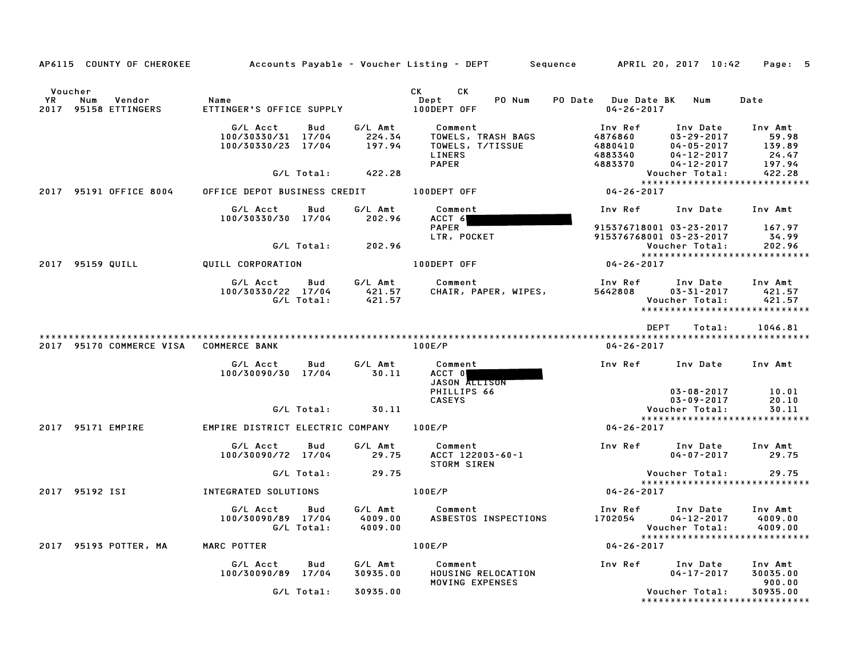| AP6115 COUNTY OF CHEROKEE                                  |                                                      |                                      | Accounts Payable – Voucher Listing – DEPT         Sequence                  | APRIL 20, 2017 10:42                                |                                                                                          | Page: 5                                       |
|------------------------------------------------------------|------------------------------------------------------|--------------------------------------|-----------------------------------------------------------------------------|-----------------------------------------------------|------------------------------------------------------------------------------------------|-----------------------------------------------|
| Voucher<br>YR.<br>Num<br>Vendor<br>2017<br>95158 ETTINGERS | Name<br>ETTINGER'S OFFICE SUPPLY                     |                                      | CK C<br>CK<br>Dept<br>PO Num<br>100DEPT OFF                                 | PO Date Due Date BK<br>$04 - 26 - 2017$             | Num                                                                                      | Date                                          |
|                                                            | G/L Acct<br>100/30330/31 17/04<br>100/30330/23 17/04 | G/L Amt<br>Bud<br>224.34<br>197.94   | Comment<br>TOWELS, TRASH BAGS<br>TOWELS, T/TISSUE<br>LINERS<br><b>PAPER</b> | Inv Ref<br>4876860<br>4880410<br>4883340<br>4883370 | Inv Date<br>$03 - 29 - 2017$<br>$04 - 05 - 2017$<br>$04 - 12 - 2017$<br>$04 - 12 - 2017$ | Inv Amt<br>59.98<br>139.89<br>24.47<br>197.94 |
|                                                            | G/L Total:                                           | 422.28                               |                                                                             |                                                     | Voucher Total:                                                                           | 422.28<br>*****************************       |
| 2017 95191 OFFICE 8004                                     | OFFICE DEPOT BUSINESS CREDIT                         |                                      | 100DEPT OFF                                                                 | 04-26-2017                                          |                                                                                          |                                               |
|                                                            | G/L Acct<br>100/30330/30 17/04                       | G/L Amt<br>Bud<br>202.96             | Comment<br>ACCT 6<br><b>PAPER</b>                                           | Inv Ref<br>915376718001 03-23-2017                  | Inv Date                                                                                 | Inv Amt<br>167.97                             |
|                                                            | G/L Total:                                           | 202.96                               | LTR, POCKET                                                                 | 915376768001 03-23-2017                             | Voucher Total:                                                                           | 34.99<br>202.96                               |
| 2017 95159 QUILL                                           | QUILL CORPORATION                                    |                                      | 100DEPT OFF                                                                 | 04-26-2017                                          |                                                                                          | *****************************                 |
|                                                            | G/L Acct<br>100/30330/22 17/04                       | Bud<br>G/L Amt<br>421.57             | Comment<br>CHAIR, PAPER, WIPES,                                             | Inv Ref<br>5642808                                  | Inv Date<br>$03 - 31 - 2017$                                                             | Inv Amt<br>421.57                             |
|                                                            | G/L Total:                                           | 421.57                               |                                                                             |                                                     | Voucher Total:                                                                           | 421.57<br>*****************************       |
|                                                            |                                                      |                                      |                                                                             | <b>DEPT</b>                                         | Total:                                                                                   | 1046.81                                       |
| 2017 95170 COMMERCE VISA                                   | <b>COMMERCE BANK</b>                                 |                                      | 100E/P                                                                      | $04 - 26 - 2017$                                    |                                                                                          |                                               |
|                                                            | G/L Acct<br>100/30090/30 17/04                       | G/L Amt<br>Bud<br>30.11              | Comment<br>ACCT 0<br>JASON ALLISON<br>PHILLIPS 66                           | Inv Ref                                             | Inv Date<br>$03 - 08 - 2017$                                                             | Inv Amt<br>10.01                              |
|                                                            | G/L Total:                                           | 30.11                                | <b>CASEYS</b>                                                               |                                                     | $03 - 09 - 2017$<br>Voucher Total:                                                       | 20.10<br>30.11                                |
|                                                            |                                                      |                                      |                                                                             |                                                     |                                                                                          | *****************************                 |
| 2017 95171 EMPIRE                                          | EMPIRE DISTRICT ELECTRIC COMPANY                     |                                      | 100E/P                                                                      | 04-26-2017                                          |                                                                                          |                                               |
|                                                            | G/L Acct<br>100/30090/72 17/04                       | Bud<br>G/L Amt<br>29.75              | Comment<br>ACCT 122003-60-1<br><b>STORM SIREN</b>                           | Inv Ref                                             | Inv Date<br>$04 - 07 - 2017$                                                             | Inv Amt<br>29.75                              |
|                                                            | G/L Total:                                           | 29.75                                |                                                                             |                                                     | Voucher Total:                                                                           | 29.75                                         |
| 2017 95192 ISI                                             | INTEGRATED SOLUTIONS                                 |                                      | 100E/P                                                                      | 04-26-2017                                          |                                                                                          | *****************************                 |
|                                                            | G/L Acct<br>100/30090/89 17/04<br>G/L Total:         | G/L Amt<br>Bud<br>4009.00<br>4009.00 | Comment<br>ASBESTOS INSPECTIONS                                             | Inv Ref<br>1702054                                  | Inv Date<br>$04 - 12 - 2017$<br>Voucher Total:                                           | Inv Amt<br>4009.00<br>4009.00                 |
| 2017 95193 POTTER, MA                                      | MARC POTTER                                          |                                      | 100E/P                                                                      | 04-26-2017                                          |                                                                                          | *****************************                 |
|                                                            | G/L Acct<br>100/30090/89 17/04                       | Bud<br>G/L Amt<br>30935.00           | Comment<br>HOUSING RELOCATION<br>MOVING EXPENSES                            | Inv Ref                                             | Inv Date<br>$04 - 17 - 2017$                                                             | Inv Amt<br>30035.00<br>900.00                 |
|                                                            | G/L Total:                                           | 30935.00                             |                                                                             |                                                     | Voucher Total:                                                                           | 30935.00                                      |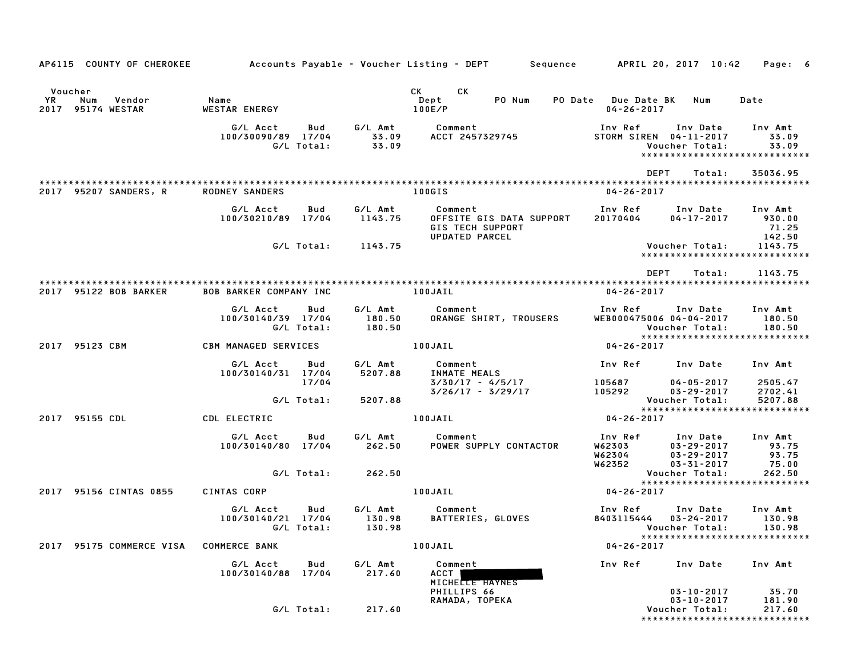| AP6115 COUNTY OF CHEROKEE Accounts Payable - Voucher Listing - DEPT Sequence APRIL 20, 2017 10:42 |                                                     |                   |                    |                                                                                                                                                                                                                                                                  |                                                        |                                                          | Page: 6                                                       |
|---------------------------------------------------------------------------------------------------|-----------------------------------------------------|-------------------|--------------------|------------------------------------------------------------------------------------------------------------------------------------------------------------------------------------------------------------------------------------------------------------------|--------------------------------------------------------|----------------------------------------------------------|---------------------------------------------------------------|
| Voucher<br>YR<br>Num<br>Vendor<br>2017 95174 WESTAR                                               | Name<br>WESTAR ENERGY                               |                   |                    | CK<br>CK the control of the control of the control of the control of the control of the control of the control of the control of the control of the control of the control of the control of the control of the control of the contr<br>PO Num<br>Dept<br>100E/P | PO Date Due Date BK<br>$04 - 26 - 2017$                | Num                                                      | Date                                                          |
|                                                                                                   | G/L Acct<br>100/30090/89 17/04                      | Bud<br>G/L Total: | 33.09<br>33.09     | G/L Amt Comment<br>ACCT 2457329745                                                                                                                                                                                                                               | STORM SIREN 04-11-2017                                 | Inv Ref      Inv Date     Inv Amt<br>Voucher Total:      | 33.09<br>33.09<br>*****************************               |
|                                                                                                   |                                                     |                   |                    |                                                                                                                                                                                                                                                                  | DEPT                                                   | Total:                                                   | 35036.95                                                      |
| 2017 95207 SANDERS, R                                                                             | <b>RODNEY SANDERS</b>                               |                   |                    | 100GIS                                                                                                                                                                                                                                                           | $04 - 26 - 2017$                                       |                                                          |                                                               |
|                                                                                                   | G/L Acct<br>100/30210/89 17/04                      | Bud               | G/L Amt<br>1143.75 | Comment<br>OFFSITE GIS DATA SUPPORT<br><b>GIS TECH SUPPORT</b><br>UPDATED PARCEL                                                                                                                                                                                 | Inv Ref<br>20170404                                    | Inv Date<br>04-17-2017                                   | Inv Amt<br>930.00<br>71.25<br>142.50                          |
|                                                                                                   |                                                     |                   | G/L Total: 1143.75 |                                                                                                                                                                                                                                                                  |                                                        | Voucher Total:                                           | 1143.75<br>*****************************                      |
|                                                                                                   |                                                     |                   |                    |                                                                                                                                                                                                                                                                  | <b>DEPT</b>                                            | Total:                                                   | 1143.75                                                       |
| 2017 95122 BOB BARKER                                                                             | <b>BOB BARKER COMPANY INC</b>                       |                   | 100JAIL            |                                                                                                                                                                                                                                                                  | 04-26-2017                                             |                                                          |                                                               |
|                                                                                                   | G/L Acct<br>100/30140/39 17/04                      | Bud<br>G/L Total: | 180.50<br>180.50   | G/L Amt Comment<br>ORANGE SHIRT, TROUSERS                                                                                                                                                                                                                        | WEB000475006 04-04-2017                                | Inv Ref      Inv Date<br>Voucher Total:                  | Inv Amt<br>180.50<br>180.50<br>****************************** |
| 2017 95123 CBM                                                                                    | CBM MANAGED SERVICES                                |                   |                    | 100JAIL                                                                                                                                                                                                                                                          | $04 - 26 - 2017$                                       |                                                          |                                                               |
|                                                                                                   | G/L Acct<br>100/30140/31 17/04                      | Bud<br>17/04      | 5207.88            | G/L Amt Comment<br>INMATE MEALS<br>3/30/17 - 4/5/17                                                                                                                                                                                                              | Inv Ref Inv Date<br>105687<br>105292                   | 04-05-2017                                               | Inv Amt<br>2505.47                                            |
|                                                                                                   |                                                     | G/L Total:        | 5207.88            | $3/26/17 - 3/29/17$                                                                                                                                                                                                                                              |                                                        | 03-29-2017<br>Voucher Total:                             | 2702.41<br>5207.88                                            |
| 2017 95155 CDL                                                                                    | CDL ELECTRIC                                        |                   |                    | 100JAIL                                                                                                                                                                                                                                                          | 04-26-2017                                             |                                                          | ******************************                                |
|                                                                                                   | G/L Acct<br>100/30140/80 17/04                      | Bud               | G/L Amt<br>262.50  | Comment<br>POWER SUPPLY CONTACTOR                                                                                                                                                                                                                                | Inv Ref<br>W62303<br>W62304<br>W62352                  | Inv Date<br>03-29-2017<br>03-29-2017<br>$03 - 31 - 2017$ | Inv Amt<br>93.75<br>93.75<br>75.00                            |
|                                                                                                   |                                                     | G/L Total:        | 262.50             |                                                                                                                                                                                                                                                                  |                                                        | Voucher Total:                                           | 262.50<br>*****************************                       |
| 2017 95156 CINTAS 0855                                                                            | CINTAS CORP                                         |                   |                    | 100JAIL                                                                                                                                                                                                                                                          | $04 - 26 - 2017$                                       |                                                          |                                                               |
|                                                                                                   | G/L Acct<br>100/30140/21 17/04<br>G/L Total: 130.98 | Bud               | 130.98             | G/L Amt Comment<br>BATTERIES, GLOVES                                                                                                                                                                                                                             | 8403115444 03-24-2017<br>Voucher Total:         130.98 | Inv Ref      Inv Date                                    | Inv Amt<br>130.98                                             |
| 2017 95175 COMMERCE VISA                                                                          | <b>COMMERCE BANK</b>                                |                   |                    | 100JAIL                                                                                                                                                                                                                                                          | $04 - 26 - 2017$                                       |                                                          | *****************************                                 |
|                                                                                                   | G/L Acct<br>100/30140/88 17/04                      | Bud               | G/L Amt<br>217.60  | Comment<br>ACCT  <br>MICHELLE HAYNES                                                                                                                                                                                                                             | Inv Ref                                                | Inv Date                                                 | Inv Amt                                                       |
|                                                                                                   |                                                     | G/L Total:        | 217.60             | PHILLIPS 66<br>RAMADA, TOPEKA                                                                                                                                                                                                                                    |                                                        | $03 - 10 - 2017$<br>$03 - 10 - 2017$<br>Voucher Total:   | 35.70<br>181.90<br>217.60<br>*****************************    |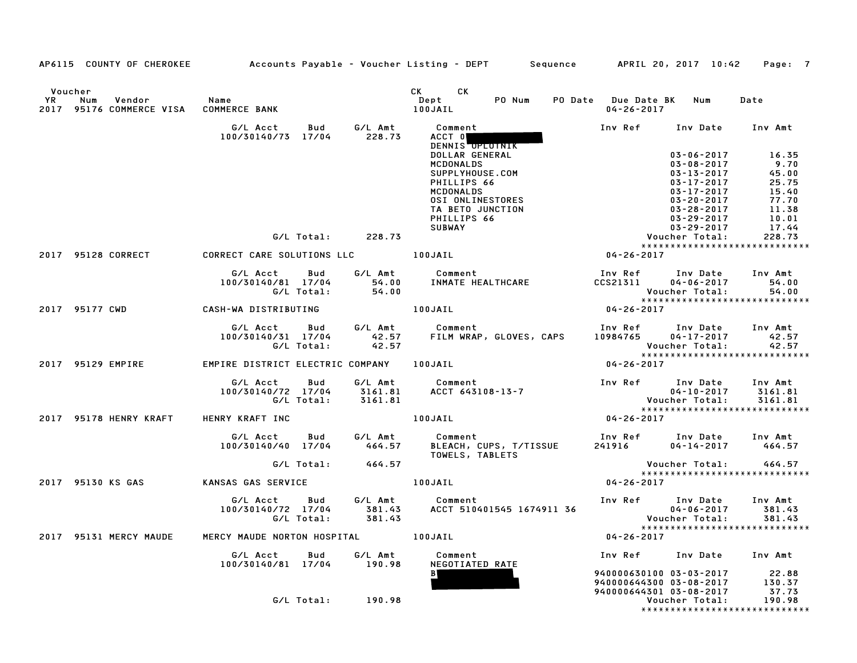|                             |                                                  |                                           |            |                   | AP6115 COUNTY OF CHEROKEE Accounts Payable - Voucher Listing - DEPT Sequence APRIL 20, 2017 10:42 Page: 7                                                                                |                                                                                                                             |                                                                                                                                                          |                                                                              |
|-----------------------------|--------------------------------------------------|-------------------------------------------|------------|-------------------|------------------------------------------------------------------------------------------------------------------------------------------------------------------------------------------|-----------------------------------------------------------------------------------------------------------------------------|----------------------------------------------------------------------------------------------------------------------------------------------------------|------------------------------------------------------------------------------|
| Voucher<br><b>YR</b><br>Num | Vendor<br>2017 95176 COMMERCE VISA COMMERCE BANK | Name                                      |            |                   | CK CK<br>Dept<br>100JAIL                                                                                                                                                                 | PO Num PO Date Due Date BK Num<br>04-26-2017                                                                                |                                                                                                                                                          | Date                                                                         |
|                             |                                                  | G/L Acct<br>100/30140/73 17/04 228.73     | Bud        | G/L Amt           | Comment<br>ACCT 0<br>DENNIS OPLOTNIK                                                                                                                                                     | Inv Ref Inv Date Inv Amt                                                                                                    |                                                                                                                                                          |                                                                              |
|                             |                                                  |                                           |            |                   | DOLLAR GENERAL<br>MCDONALDS<br>SUPPLYHOUSE.COM<br>PHILLIPS 66<br>MCDONALDS<br><b>MCDONALDS<br/>OSI ONLINESTORES<br/>TA RETO JUNCTION</b><br>PHILLIPS 66<br><b>SUBWAY</b>                 |                                                                                                                             | $03 - 06 - 2017$<br>$03 - 08 - 2017$<br>$03 - 13 - 2017$<br>$03 - 17 - 2017$<br>03-17-2017<br>03-20-2017<br>03-28-2017<br>03-29-2017<br>$03 - 29 - 2017$ | 16.35<br>9.70<br>45.00<br>25.75<br>15.40<br>77.70<br>11.38<br>10.01<br>17.44 |
|                             |                                                  |                                           | G/L Total: | 228.73            |                                                                                                                                                                                          |                                                                                                                             | Voucher Total:                                                                                                                                           | 228.73                                                                       |
|                             |                                                  |                                           |            |                   |                                                                                                                                                                                          |                                                                                                                             |                                                                                                                                                          | *****************************                                                |
| 2017 95128 CORRECT          |                                                  | CORRECT CARE SOLUTIONS LLC <b>100JAIL</b> |            |                   |                                                                                                                                                                                          | $04 - 26 - 2017$                                                                                                            |                                                                                                                                                          |                                                                              |
|                             |                                                  |                                           |            |                   | G/L Acct Bud G/L Amt Comment Inv Ref Inv Date<br>100/30140/81 17/04 54.00 INMATE HEALTHCARE CCS21311 04-06-2017<br>G/L Total: 54.00 Voucher Total:                                       | Inv Ref      Inv Date     Inv Amt                                                                                           |                                                                                                                                                          | 54.00<br>Voucher Total: 54.00<br>****************************                |
| 2017 95177 CWD              |                                                  | CASH-WA DISTRIBUTING                      |            |                   | 100JAIL                                                                                                                                                                                  | $04 - 26 - 2017$                                                                                                            |                                                                                                                                                          |                                                                              |
|                             |                                                  |                                           |            |                   | G/L Acct Bud G/L Amt Comment Inv Ref Inv Date Inv Amt<br>100/30140/31 17/04 42.57 FILM WRAP, GLOVES, CAPS 10984765 04–17–2017 42.57<br>G/L Total: 42.57 - 10984765 - 10984765 04–17–2017 |                                                                                                                             |                                                                                                                                                          | Voucher Total: 42.57<br>****************************                         |
|                             | 2017 95129 EMPIRE                                | EMPIRE DISTRICT ELECTRIC COMPANY 100JAIL  |            |                   |                                                                                                                                                                                          | $04 - 26 - 2017$                                                                                                            |                                                                                                                                                          |                                                                              |
|                             |                                                  |                                           |            |                   |                                                                                                                                                                                          |                                                                                                                             |                                                                                                                                                          |                                                                              |
|                             |                                                  | G/L Total: 3161.81                        |            |                   | G/L Acct Bud G/L Amt Comment<br>100/30140/72 17/04 3161.81 ACCT 643108-13-7                                                                                                              | Inv Ref Inv Date<br>$04-10-2017$ Voucher Total:<br>*****************                                                        |                                                                                                                                                          | Inv Amt<br>3161.81<br>3161.81<br>*****************************               |
|                             | <b>2017 95178 HENRY KRAFT</b>                    | HENRY KRAFT INC                           |            |                   | 100JAIL <b>Andrew Strute</b>                                                                                                                                                             | $04 - 26 - 2017$                                                                                                            |                                                                                                                                                          |                                                                              |
|                             |                                                  |                                           |            |                   | G/L Acct        Bud         G/L Amt            Comment<br>100/30140/40    17/04          464.57       BLEACH, CUPS, T/TISSUE<br>TOWELS, TABLETS                                          | Inv Ref       Inv Date     Inv Amt<br>241916          04–14–2017        464.57<br>241916                                    |                                                                                                                                                          |                                                                              |
|                             |                                                  |                                           |            | G/L Total: 464.57 |                                                                                                                                                                                          | Voucher Total:<br>******************                                                                                        |                                                                                                                                                          | 464.57                                                                       |
| 2017 95130 KS GAS           |                                                  | KANSAS GAS SERVICE                        |            | 100JAIL           |                                                                                                                                                                                          | $04 - 26 - 2017$                                                                                                            |                                                                                                                                                          | *****************************                                                |
|                             |                                                  | G/L Acct<br>100/30140/72 17/04            |            |                   |                                                                                                                                                                                          |                                                                                                                             |                                                                                                                                                          |                                                                              |
|                             | 2017 95131 MERCY MAUDE                           | MERCY MAUDE NORTON HOSPITAL 100JAIL       |            |                   |                                                                                                                                                                                          | $04 - 26 - 2017$                                                                                                            |                                                                                                                                                          |                                                                              |
|                             |                                                  | G/L Acct Bud<br>100/30140/81 17/04 190.98 |            | G/L Amt           | Comment<br>NEGOTIATED RATE                                                                                                                                                               |                                                                                                                             | Inv Ref Inv Date Inv Amt                                                                                                                                 |                                                                              |
|                             |                                                  |                                           |            |                   | B                                                                                                                                                                                        | 940000630100 03-03-2017 22.88<br>940000644300 03-08-2017 130.37<br>940000644301 03-08-2017 37.73<br>940000644301 03-08-2017 |                                                                                                                                                          |                                                                              |
|                             |                                                  |                                           |            | G/L Total: 190.98 |                                                                                                                                                                                          |                                                                                                                             | Voucher Total:                                                                                                                                           | 190.98<br>*****************************                                      |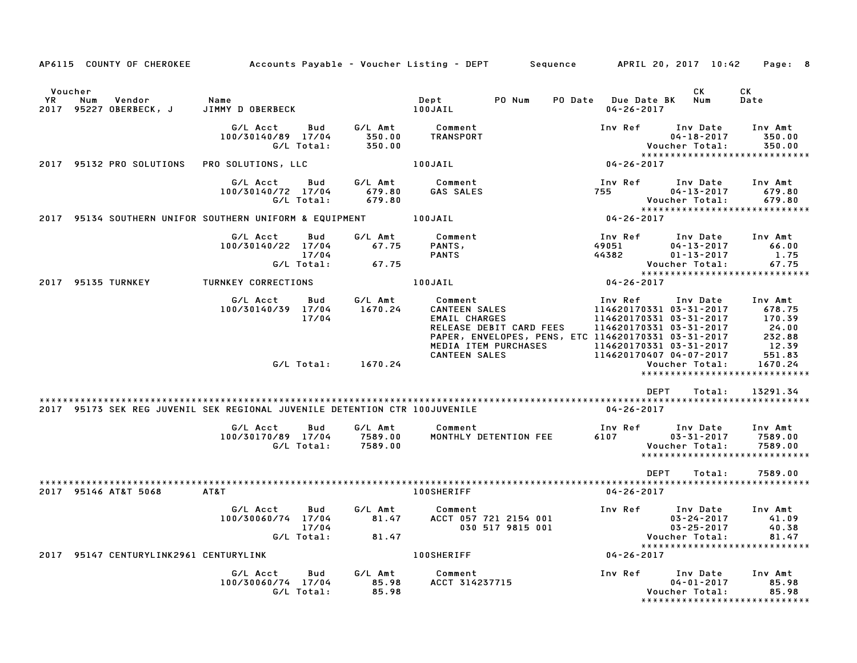| AP6115 COUNTY OF CHEROKEE                                                  |                                                              |                               | Accounts Payable – Voucher Listing – DEPT         Sequence                                                                                                        |                                         | APRIL 20, 2017 10:42                                                                                                 | Page: 8                                                 |
|----------------------------------------------------------------------------|--------------------------------------------------------------|-------------------------------|-------------------------------------------------------------------------------------------------------------------------------------------------------------------|-----------------------------------------|----------------------------------------------------------------------------------------------------------------------|---------------------------------------------------------|
| Voucher<br>YR.<br>Num<br>Vendor<br>95227 OBERBECK, J<br>2017               | Name<br>JIMMY D OBERBECK                                     |                               | PO Num<br>Dept<br>100JAIL                                                                                                                                         | PO Date Due Date BK<br>$04 - 26 - 2017$ | СK<br>Num                                                                                                            | СK<br>Date                                              |
|                                                                            | G/L Acct<br>Bud<br>100/30140/89 17/04<br>G/L Total:          | G/L Amt<br>350.00<br>350.00   | Comment<br>TRANSPORT                                                                                                                                              | Inv Ref                                 | Inv Date<br>$04 - 18 - 2017$<br>Voucher Total:<br>*****************************                                      | Inv Amt<br>350.00<br>350.00                             |
| 2017 95132 PRO SOLUTIONS                                                   | PRO SOLUTIONS, LLC                                           |                               | 100JAIL                                                                                                                                                           | 04-26-2017                              |                                                                                                                      |                                                         |
|                                                                            | G/L Acct<br>Bud<br>100/30140/72 17/04<br>G/L Total:          | G/L Amt<br>679.80<br>679.80   | Comment<br>GAS SALES                                                                                                                                              | Inv Ref<br>755                          | Inv Date<br>$04 - 13 - 2017$<br>Voucher Total:<br>*****************************                                      | Inv Amt<br>679.80<br>679.80                             |
| 2017 95134 SOUTHERN UNIFOR SOUTHERN UNIFORM & EQUIPMENT                    |                                                              |                               | 100JAIL                                                                                                                                                           | 04-26-2017                              |                                                                                                                      |                                                         |
|                                                                            | G/L Acct<br>Bud<br>100/30140/22 17/04<br>17/04<br>G/L Total: | G/L Amt<br>67.75<br>67.75     | Comment<br>PANTS,<br><b>PANTS</b>                                                                                                                                 | Inv Ref<br>49051<br>44382               | Inv Date<br>$04 - 13 - 2017$<br>$01 - 13 - 2017$<br>Voucher Total:<br>*****************************                  | Inv Amt<br>66.00<br>1.75<br>67.75                       |
| 2017 95135 TURNKEY                                                         | TURNKEY CORRECTIONS                                          |                               | 100JAIL                                                                                                                                                           | 04-26-2017                              |                                                                                                                      |                                                         |
|                                                                            | G/L Acct<br>Bud<br>100/30140/39 17/04<br>17/04               | G/L Amt<br>1670.24            | Comment<br><b>CANTEEN SALES</b><br><b>EMAIL CHARGES</b><br>RELEASE DEBIT CARD FEES<br>PAPER, ENVELOPES, PENS, ETC 114620170331 03-31-2017<br>MEDIA ITEM PURCHASES | Inv Ref                                 | Inv Date<br>114620170331 03-31-2017<br>114620170331 03-31-2017<br>114620170331 03-31-2017<br>114620170331 03-31-2017 | Inv Amt<br>678.75<br>170.39<br>24.00<br>232.88<br>12.39 |
|                                                                            | G/L Total:                                                   | 1670.24                       | <b>CANTEEN SALES</b>                                                                                                                                              |                                         | 114620170407 04-07-2017<br>Voucher Total:<br>*****************************                                           | 551.83<br>1670.24                                       |
|                                                                            |                                                              |                               |                                                                                                                                                                   |                                         | <b>DEPT</b><br>Total:                                                                                                | 13291.34                                                |
| 2017 95173 SEK REG JUVENIL SEK REGIONAL JUVENILE DETENTION CTR 100JUVENILE |                                                              |                               |                                                                                                                                                                   | 04-26-2017                              |                                                                                                                      |                                                         |
|                                                                            | G/L Acct<br>Bud<br>100/30170/89 17/04<br>G/L Total:          | G/L Amt<br>7589.00<br>7589.00 | Comment<br>MONTHLY DETENTION FEE                                                                                                                                  | Inv Ref<br>6107                         | Inv Date<br>$03 - 31 - 2017$<br>Voucher Total:<br>*****************************                                      | Inv Amt<br>7589.00<br>7589.00                           |
|                                                                            |                                                              |                               |                                                                                                                                                                   |                                         | <b>DEPT</b><br>Total:                                                                                                | 7589.00                                                 |
| 2017 95146 AT&T 5068                                                       | AT&T                                                         |                               | <b>100SHERIFF</b>                                                                                                                                                 | $04 - 26 - 2017$                        |                                                                                                                      |                                                         |
|                                                                            | G/L Acct<br>Bud<br>100/30060/74 17/04<br>17/04<br>G/L Total: | G/L Amt<br>81.47<br>81.47     | Comment<br>ACCT 057 721 2154 001<br>030 517 9815 001                                                                                                              | Inv Ref                                 | Inv Date<br>$03 - 24 - 2017$<br>$03 - 25 - 2017$<br>Voucher Total:                                                   | Inv Amt<br>41.09<br>40.38<br>81.47                      |
| 2017 95147 CENTURYLINK2961 CENTURYLINK                                     |                                                              |                               | <b>100SHERIFF</b>                                                                                                                                                 | $04 - 26 - 2017$                        | *****************************                                                                                        |                                                         |
|                                                                            | G/L Acct<br>Bud<br>100/30060/74 17/04<br>G/L Total:          | G/L Amt<br>85.98<br>85.98     | Comment<br>ACCT 314237715                                                                                                                                         | Inv Ref                                 | Inv Date<br>$04 - 01 - 2017$<br>Voucher Total:<br>*****************************                                      | Inv Amt<br>85.98<br>85.98                               |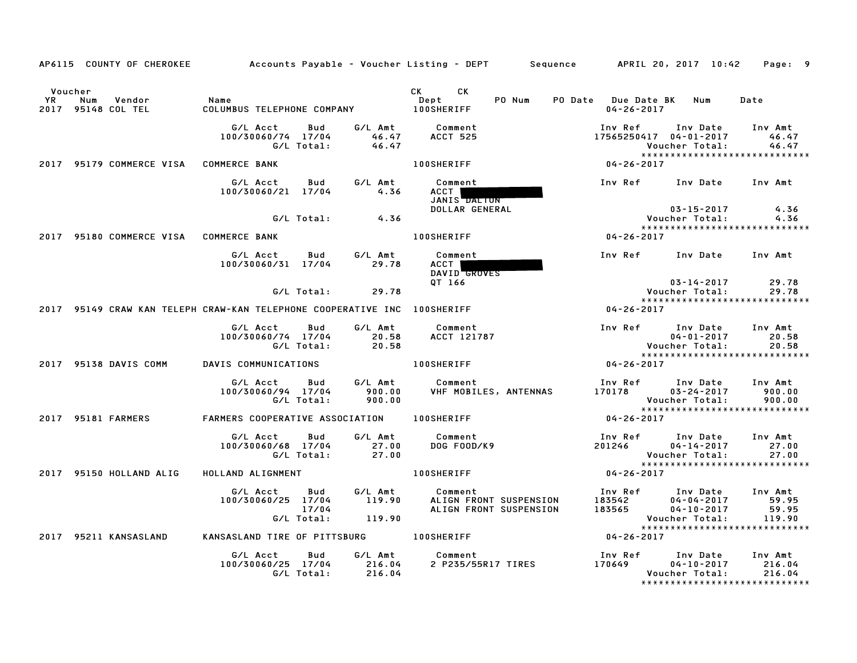|    |                | AP6115 COUNTY OF CHEROKEE    | Accounts Payable – Voucher Listing – DEPT        Sequence        APRIL 20, 2017  10:42 |                            |                             |                                                                                                                                                                                                                                                                    |                                                  |                             |                                                                                                     | Page: 9                             |
|----|----------------|------------------------------|----------------------------------------------------------------------------------------|----------------------------|-----------------------------|--------------------------------------------------------------------------------------------------------------------------------------------------------------------------------------------------------------------------------------------------------------------|--------------------------------------------------|-----------------------------|-----------------------------------------------------------------------------------------------------|-------------------------------------|
| YR | Voucher<br>Num | Vendor<br>2017 95148 COL TEL | Name<br>COLUMBUS TELEPHONE COMPANY                                                     |                            |                             | CK and the set of the set of the set of the set of the set of the set of the set of the set of the set of the set of the set of the set of the set of the set of the set of the set of the set of the set of the set of the se<br>CK.<br>Dept<br><b>100SHERIFF</b> | PO Num                                           | $04 - 26 - 2017$            | PO Date Due Date BK Num                                                                             | Date                                |
|    |                |                              | G/L Acct<br>100/30060/74 17/04                                                         | Bud<br>G/L Total:          | G/L Amt<br>46.47<br>46.47   | Comment<br><b>ACCT 525</b>                                                                                                                                                                                                                                         |                                                  | Inv Ref                     | Inv Date<br>17565250417 04-01-2017<br>Voucher Total:<br>******************************              | Inv Amt<br>46.47<br>46.47           |
|    |                | 2017 95179 COMMERCE VISA     | <b>COMMERCE BANK</b>                                                                   |                            |                             | <b>100SHERIFF</b>                                                                                                                                                                                                                                                  |                                                  | 04-26-2017                  |                                                                                                     |                                     |
|    |                |                              | G/L Acct<br>100/30060/21 17/04                                                         | Bud                        | G/L Amt<br>4.36             | Comment<br>ACCT  <br>JANIS DALTON                                                                                                                                                                                                                                  |                                                  | Inv Ref                     | Inv Date                                                                                            | Inv Amt                             |
|    |                |                              |                                                                                        | G/L Total:                 | 4.36                        | DOLLAR GENERAL                                                                                                                                                                                                                                                     |                                                  |                             | $03 - 15 - 2017$<br>Voucher Total:                                                                  | 4.36<br>4.36                        |
|    |                | 2017 95180 COMMERCE VISA     | <b>COMMERCE BANK</b>                                                                   |                            |                             | <b>100SHERIFF</b>                                                                                                                                                                                                                                                  |                                                  | 04-26-2017                  | *****************************                                                                       |                                     |
|    |                |                              | G/L Acct<br>100/30060/31 17/04                                                         | Bud                        | G/L Amt<br>29.78            | Comment<br>ACCT  <br>DAVID GROVES                                                                                                                                                                                                                                  |                                                  | Inv Ref                     | Inv Date                                                                                            | Inv Amt                             |
|    |                |                              |                                                                                        | G/L Total:                 | 29.78                       | QT 166                                                                                                                                                                                                                                                             |                                                  |                             | $03 - 14 - 2017$<br>Voucher Total:                                                                  | 29.78<br>29.78                      |
|    |                |                              | 2017 95149 CRAW KAN TELEPH CRAW-KAN TELEPHONE COOPERATIVE INC 100SHERIFF               |                            |                             |                                                                                                                                                                                                                                                                    |                                                  | 04-26-2017                  | *****************************                                                                       |                                     |
|    |                |                              |                                                                                        |                            |                             |                                                                                                                                                                                                                                                                    |                                                  |                             |                                                                                                     |                                     |
|    |                |                              | G/L Acct<br>100/30060/74 17/04                                                         | Bud<br>G/L Total:          | G/L Amt<br>20.58<br>20.58   | Comment<br>ACCT 121787                                                                                                                                                                                                                                             |                                                  | Inv Ref                     | Inv Date<br>$04 - 01 - 2017$<br>Voucher Total:<br>*****************************                     | Inv Amt<br>20.58<br>20.58           |
|    |                | 2017 95138 DAVIS COMM        | DAVIS COMMUNICATIONS                                                                   |                            |                             | <b>100SHERIFF</b>                                                                                                                                                                                                                                                  |                                                  | 04-26-2017                  |                                                                                                     |                                     |
|    |                |                              | G/L Acct<br>100/30060/94 17/04                                                         | Bud<br>G/L Total:          | G/L Amt<br>900.00<br>900.00 | Comment                                                                                                                                                                                                                                                            | VHF MOBILES, ANTENNAS                            | Inv Ref<br>170178           | Inv Date<br>$03 - 24 - 2017$<br>Voucher Total:<br>*****************************                     | Inv Amt<br>900.00<br>900.00         |
|    |                | 2017 95181 FARMERS           | FARMERS COOPERATIVE ASSOCIATION                                                        |                            |                             | <b>100SHERIFF</b>                                                                                                                                                                                                                                                  |                                                  | 04-26-2017                  |                                                                                                     |                                     |
|    |                |                              | G/L Acct<br>100/30060/68 17/04                                                         | Bud<br>G/L Total:          | G/L Amt<br>27.00<br>27.00   | Comment<br>DOG FOOD/K9                                                                                                                                                                                                                                             |                                                  | Inv Ref<br>201246           | Inv Date<br>$04 - 14 - 2017$<br>Voucher Total:                                                      | Inv Amt<br>27.00<br>27.00           |
|    |                | 2017 95150 HOLLAND ALIG      | HOLLAND ALIGNMENT                                                                      |                            |                             | <b>100SHERIFF</b>                                                                                                                                                                                                                                                  |                                                  | 04-26-2017                  | *****************************                                                                       |                                     |
|    |                |                              | G/L Acct<br>100/30060/25 17/04                                                         | Bud<br>17/04<br>G/L Total: | G/L Amt<br>119.90<br>119.90 | Comment                                                                                                                                                                                                                                                            | ALIGN FRONT SUSPENSION<br>ALIGN FRONT SUSPENSION | Inv Ref<br>183542<br>183565 | Inv Date<br>$04 - 04 - 2017$<br>$04 - 10 - 2017$<br>Voucher Total:<br>***************************** | Inv Amt<br>59.95<br>59.95<br>119.90 |
|    |                | 2017 95211 KANSASLAND        | KANSASLAND TIRE OF PITTSBURG 100SHERIFF                                                |                            |                             |                                                                                                                                                                                                                                                                    |                                                  | 04-26-2017                  |                                                                                                     |                                     |
|    |                |                              | G/L Acct<br>100/30060/25 17/04                                                         | Bud<br>G/L Total:          | G/L Amt<br>216.04<br>216.04 | Comment<br>2 P235/55R17 TIRES                                                                                                                                                                                                                                      |                                                  | Inv Ref<br>170649           | Inv Date<br>$04 - 10 - 2017$<br>Voucher Total:<br>*****************************                     | Inv Amt<br>216.04<br>216.04         |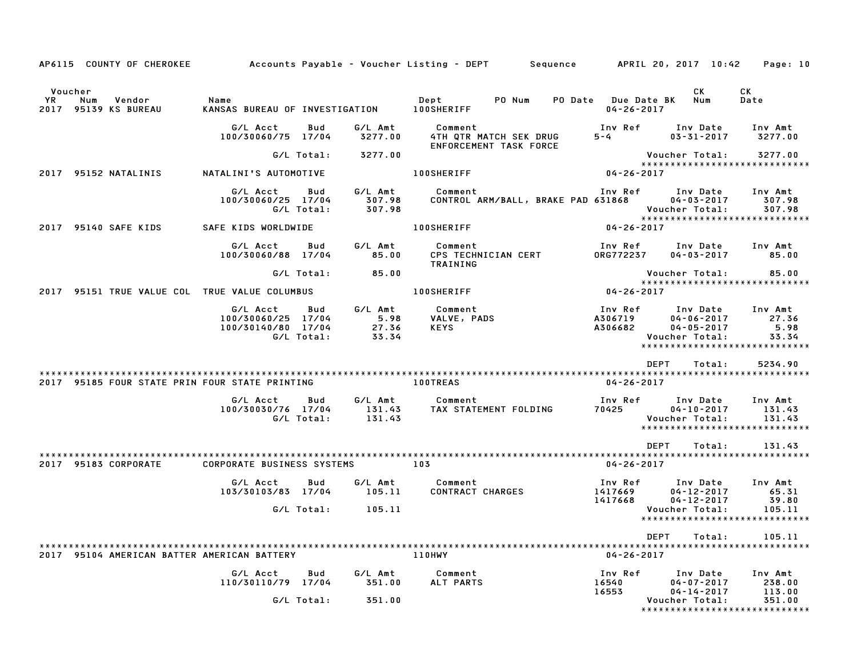|                                                                         |                                                                    |                                          | AP6115 COUNTY OF CHEROKEE Accounts Payable - Voucher Listing - DEPT Sequence APRIL 20, 2017 10:42 Page: 10 |                                                                                                                   |                                                               |
|-------------------------------------------------------------------------|--------------------------------------------------------------------|------------------------------------------|------------------------------------------------------------------------------------------------------------|-------------------------------------------------------------------------------------------------------------------|---------------------------------------------------------------|
| Voucher<br>YR<br>Num<br>Vendor<br>2017 95139 KS BUREAU                  | Name<br>KANSAS BUREAU OF INVESTIGATION 100SHERIFF                  |                                          | Dept PO Num                                                                                                | CK.<br><b>PO Date</b> Due Date BK<br>Num<br>04-26-2017                                                            | CK<br>Date                                                    |
|                                                                         | G/L Acct<br>100/30060/75 17/04                                     | Bud<br>G/L Amt<br>3277.00                | Comment<br>4TH QTR MATCH SEK DRUG<br>ENFORCEMENT TASK FORCE                                                | Inv Ref<br>Inv Date<br>$5-4$<br>$03 - 31 - 2017$                                                                  | Inv Amt<br>3277.00                                            |
|                                                                         |                                                                    | G/L Total: 3277.00                       |                                                                                                            | Voucher Total:                                                                                                    | 3277.00<br>*****************************                      |
| 2017 95152 NATALINIS                                                    | NATALINI'S AUTOMOTIVE                                              |                                          | <b>100SHERIFF</b>                                                                                          | $04 - 26 - 2017$                                                                                                  |                                                               |
|                                                                         | G/L Acct Bud<br>100/30060/25 17/04<br>G/L Total:                   | G/L Amt<br>307.98<br>307.98              | Comment<br>CONTROL ARM/BALL, BRAKE PAD 631868                                                              | Inv Ref Inv Date Inv Amt<br>$04 - 03 - 2017$<br>Voucher Total:                                                    | 307.98<br>307.98<br>*****************************             |
| 2017 95140 SAFE KIDS                                                    | SAFE KIDS WORLDWIDE                                                |                                          | <b>100SHERIFF</b>                                                                                          | 04-26-2017                                                                                                        |                                                               |
|                                                                         | G/L Acct<br>100/30060/88 17/04                                     | G/L Amt<br>Bud<br>85.00                  | Comment<br><b>COMMENT</b><br>CPS TECHNICIAN CERT<br>TRAINING                                               | Inv Ref      Inv Date<br><b>ORG772237</b><br>04-03-2017                                                           | Inv Amt<br>85.00                                              |
|                                                                         | G/L Total:                                                         | 85.00                                    |                                                                                                            | Voucher Total:                                                                                                    | 85.00                                                         |
| 2017 95151 TRUE VALUE COL TRUE VALUE COLUMBUS                           |                                                                    |                                          | <b>100SHERIFF</b>                                                                                          | $04 - 26 - 2017$                                                                                                  |                                                               |
|                                                                         | G/L Acct<br>100/30060/25 17/04<br>100/30140/80 17/04<br>G/L Total: | G/L Amt<br>Bud<br>5.98<br>27.36<br>33.34 | Comment<br>VALVE, PADS<br><b>KEYS</b>                                                                      | Inv Ref      Inv Date     Inv Amt<br>A306719<br>$04 - 06 - 2017$<br>A306682<br>$04 - 05 - 2017$<br>Voucher Total: | 27.36<br>5.98<br>33.34<br>*****************************       |
|                                                                         |                                                                    |                                          |                                                                                                            | <b>DEPT</b><br>Total:                                                                                             | 5234.90                                                       |
| 2017 95185 FOUR STATE PRIN FOUR STATE PRINTING THE RESERVE RESIDENCE AS |                                                                    |                                          |                                                                                                            | 04-26-2017                                                                                                        |                                                               |
|                                                                         | G/L Acct<br>100/30030/76 17/04<br>G/L Total:                       | G/L Amt<br>Bud<br>131.43<br>131.43       | Comment<br>TAX STATEMENT FOLDING                                                                           | Inv Ref<br>Inv Date<br>70425<br>$04 - 10 - 2017$<br>Voucher Total:                                                | Inv Amt<br>131.43<br>131.43<br>****************************** |
|                                                                         |                                                                    |                                          |                                                                                                            | <b>DEPT</b><br>Total:                                                                                             | 131.43                                                        |
| 2017 95183 CORPORATE                                                    | <b>CORPORATE BUSINESS SYSTEMS</b>                                  |                                          | 103                                                                                                        | 04-26-2017                                                                                                        |                                                               |
|                                                                         | G/L Acct<br>103/30103/83 17/04                                     | G/L Amt<br>Bud<br>105.11                 | Comment<br>CONTRACT CHARGES                                                                                | Inv Ref<br>Inv Date<br>1417669<br>$04 - 12 - 2017$<br>1417668<br>$04 - 12 - 2017$                                 | Inv Amt<br>65.31<br>39.80                                     |
|                                                                         | G/L Total:                                                         | 105.11                                   |                                                                                                            | Voucher Total:                                                                                                    | 105.11<br>*****************************                       |
|                                                                         |                                                                    |                                          |                                                                                                            | DEPT<br>Total:                                                                                                    | 105.11                                                        |
| 2017 95104 AMERICAN BATTER AMERICAN BATTERY                             |                                                                    |                                          | 110HWY                                                                                                     | $04 - 26 - 2017$                                                                                                  |                                                               |
|                                                                         | G/L Acct<br>110/30110/79 17/04                                     | G/L Amt<br>Bud<br>351.00                 | Comment<br>ALT PARTS                                                                                       | Inv Ref<br>Inv Date<br>$04 - 07 - 2017$<br>16540<br>16553<br>$04 - 14 - 2017$                                     | Inv Amt<br>238.00<br>113.00                                   |
|                                                                         | G/L Total:                                                         | 351.00                                   |                                                                                                            | Voucher Total:                                                                                                    | 351.00<br>*****************************                       |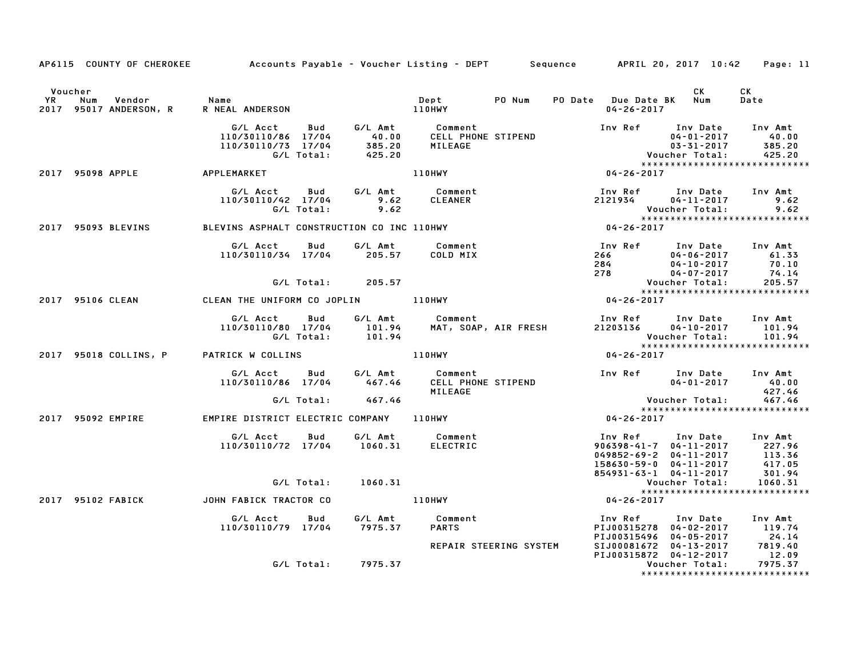|                      | AP6115 COUNTY OF CHEROKEE Accounts Payable - Voucher Listing - DEPT Sequence APRIL 20, 2017 10:42 |                                                                                                                                       |                    |         |                        |        |                                                                                                                                                             |                                                                                           | Page: 11                                                                                                                                                                     |
|----------------------|---------------------------------------------------------------------------------------------------|---------------------------------------------------------------------------------------------------------------------------------------|--------------------|---------|------------------------|--------|-------------------------------------------------------------------------------------------------------------------------------------------------------------|-------------------------------------------------------------------------------------------|------------------------------------------------------------------------------------------------------------------------------------------------------------------------------|
| Voucher<br><b>YR</b> | Vendor Name<br>Num<br>2017 95017 ANDERSON, R                                                      |                                                                                                                                       |                    |         |                        | PO Num | PO Date Due Date BK Num<br>$04 - 26 - 2017$                                                                                                                 | CK                                                                                        | CK<br>Date                                                                                                                                                                   |
|                      |                                                                                                   | G/L Acct Bud G/L Amt Comment<br>110/30110/86 17/04 40.00 CELL PHONE STIPEND<br>110/30110/73 17/04 385.20 MILEAGE<br>G/L Total: 425.20 |                    |         |                        |        | Inv Ref Inv Date Inv Amt                                                                                                                                    | 04-01-2017 40.00<br>03-31-2017 385.20<br>03-31-2017 385.20<br>25.20 Youcher Total: 425.20 | *****************************                                                                                                                                                |
|                      | 2017 95098 APPLE APPLEMARKET                                                                      |                                                                                                                                       |                    |         | 110HWY                 |        | $04 - 26 - 2017$                                                                                                                                            |                                                                                           |                                                                                                                                                                              |
|                      |                                                                                                   | G/L Acct Bud G/L Amt Comment<br>110/30110/42 17/04 9.62 CLEANER<br>G/L Total:                                                         |                    | 9.62    |                        |        | Inv Ref      Inv Date    Inv Amt<br>2121934         04-11-2017            9.62                                                                              | Voucher Total:                                                                            | 9.62                                                                                                                                                                         |
|                      | 2017 95093 BLEVINS                                                                                | BLEVINS ASPHALT CONSTRUCTION CO INC 110HWY                                                                                            |                    |         |                        |        | v ou c<br>* * * * *<br>04 - 26 - 26 - 10 0                                                                                                                  |                                                                                           |                                                                                                                                                                              |
|                      |                                                                                                   | G/L Acct Bud<br>$110/30110/34$ $17/04$ 205.57 COLD MIX                                                                                |                    |         | G/L Amt Comment        |        | Inv Ref Inv Date Inv Amt                                                                                                                                    |                                                                                           | 100 Ker – Inv Date – Inv Amt<br>266 – 04-06-2017 – 10.33<br>278 – 04-07-2017 – 70.10<br>278 – 04-07-2017 – 74.14<br>Voucher Total: 205.57<br>******************************* |
|                      |                                                                                                   |                                                                                                                                       | G/L Total: 205.57  |         |                        |        |                                                                                                                                                             |                                                                                           |                                                                                                                                                                              |
|                      | 2017 95106 CLEAN CLEAN THE UNIFORM CO JOPLIN 110HWY                                               |                                                                                                                                       |                    |         |                        |        | $04 - 26 - 2017$                                                                                                                                            |                                                                                           |                                                                                                                                                                              |
|                      |                                                                                                   | G/L Acct Bud<br>110/30110/80 17/04 101.94 MAT, SOAP, AIR FRESH<br>G/L Total: 101.94 MAT, SOAP, AIR FRESH                              |                    |         | G/L Amt Comment        |        | Inv Ref Inv Date Inv Amt<br>21203136<br>Voucher Total: 101.94                                                                                               | 04-10-2017 101.94                                                                         |                                                                                                                                                                              |
|                      | 2017 95018 COLLINS, P PATRICK W COLLINS                                                           |                                                                                                                                       |                    |         | <b>110HWY</b>          |        | $04 - 26 - 2017$                                                                                                                                            |                                                                                           | *****************************                                                                                                                                                |
|                      |                                                                                                   |                                                                                                                                       |                    |         | MILEAGE                |        | Inv Ref       Inv Date     Inv Amt<br>04-01-2017        40.00                                                                                               |                                                                                           | 427.46                                                                                                                                                                       |
|                      |                                                                                                   |                                                                                                                                       | G/L Total: 467.46  |         |                        |        |                                                                                                                                                             |                                                                                           | Voucher Total: 467.46<br>****************************                                                                                                                        |
|                      | 2017 95092 EMPIRE <b>EMPIRE DISTRICT ELECTRIC COMPANY</b> 110HWY                                  |                                                                                                                                       |                    |         |                        |        | $04 - 26 - 2017$                                                                                                                                            |                                                                                           |                                                                                                                                                                              |
|                      |                                                                                                   | G/L Acct Bud G/L Amt Comment<br>110/30110/72 17/04 1060.31                                                                            |                    |         | ELECTRIC               |        | 1nv Ref 1nv Date 1nv Amt<br>906398-41-7 04-11-2017 227.96<br>049852-69-2 04-11-2017 113.36<br>158630-59-0 04-11-2017 417.05<br>854931-63-1 04-11-2017       |                                                                                           | 301.94                                                                                                                                                                       |
|                      |                                                                                                   | G/L Total:                                                                                                                            |                    | 1060.31 |                        |        |                                                                                                                                                             | Voucher Total:                                                                            | 1060.31                                                                                                                                                                      |
|                      | 2017 95102 FABICK                                                                                 | JOHN FABICK TRACTOR CO                                                                                                                |                    |         | 110HWY                 |        | $04 - 26 - 2017$                                                                                                                                            |                                                                                           | *****************************                                                                                                                                                |
|                      |                                                                                                   | G/L Acct Bud G/L Amt Comment<br>110/30110/79 17/04 7975.37 PARTS                                                                      |                    |         |                        |        | Inv Ref Inv Date Inv Amt<br>PIJ00315278 04-02-2017 119.74<br>PIJ00315496 04-05-2017 24.14<br>SIJ00081672 04-13-2017 7819.40<br>PIJ00315872 04-12-2017 12.09 |                                                                                           |                                                                                                                                                                              |
|                      |                                                                                                   |                                                                                                                                       | G/L Total: 7975.37 |         | REPAIR STEERING SYSTEM |        |                                                                                                                                                             | Voucher Total:                                                                            | 7975.37<br>*****************************                                                                                                                                     |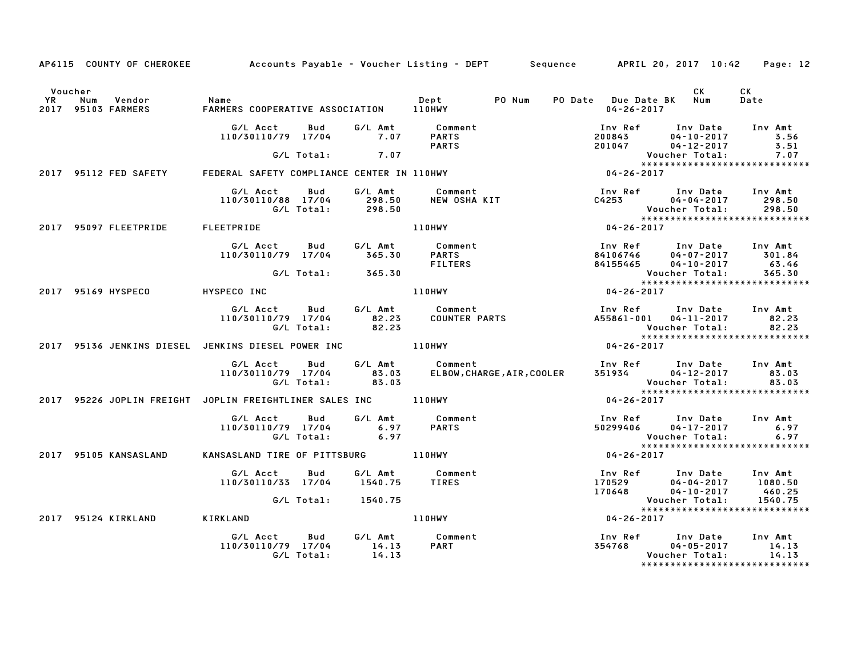|         |                       |                                                                                                                                                                    | AP6115 COUNTY OF CHEROKEE Accounts Payable - Voucher Listing - DEPT Sequence APRIL 20, 2017 10:42 Page: 12                                                                                                                              |                                       |                                                                                                                                                                            |
|---------|-----------------------|--------------------------------------------------------------------------------------------------------------------------------------------------------------------|-----------------------------------------------------------------------------------------------------------------------------------------------------------------------------------------------------------------------------------------|---------------------------------------|----------------------------------------------------------------------------------------------------------------------------------------------------------------------------|
| Voucher |                       |                                                                                                                                                                    |                                                                                                                                                                                                                                         | PO Date Due Date BK Num<br>04-26-2017 | CK<br><b>CK</b><br>Date                                                                                                                                                    |
|         |                       |                                                                                                                                                                    | G/L Acct  Bud  G/L Amt  Comment<br>110/30110/79  17/04  7.07  PARTS<br>G/L Total:  7.07  PARTS                                                                                                                                          |                                       | 1nv Ref        Inv Date      Inv Amt<br>200843           04-10-2017            3.56<br>201047              04-12-2017             3.51<br>Voucher Total:              7.07 |
|         |                       |                                                                                                                                                                    |                                                                                                                                                                                                                                         |                                       |                                                                                                                                                                            |
|         |                       | 2017 95112 FED SAFETY FEDERAL SAFETY COMPLIANCE CENTER IN 110HWY                                                                                                   |                                                                                                                                                                                                                                         |                                       |                                                                                                                                                                            |
|         |                       |                                                                                                                                                                    | G/LAcct Bud G/LAmt Comment Inv Ref Inv Date Inv Amt<br>110/30110/88 17/04 298.50 NEW OSHA KIT C4253 04-04-2017 298.50<br>G/LTotal: 298.50 110HWY 110HWY 04-26-2017 198.50<br>EETPRIDE 110HWY 110HWY 04-26-2017                          |                                       |                                                                                                                                                                            |
|         |                       | 2017 95097 FLEETPRIDE FLEETPRIDE                                                                                                                                   |                                                                                                                                                                                                                                         |                                       |                                                                                                                                                                            |
|         |                       | G/L Acct  Bud  G/L Amt  Comment<br>110/30110/79 17/04  365.30  PARTS                                                                                               | 4106746 ED UNRef Investment (100 MHz) US-5.30 PARTS FILTERS and the set of the set of the set of the set of the set of the set of the set of the set of the set of the set of the set of the set of the set of the set of the           |                                       |                                                                                                                                                                            |
|         |                       | G/L Total: 365.30                                                                                                                                                  |                                                                                                                                                                                                                                         |                                       |                                                                                                                                                                            |
|         |                       | 2017 95169 HYSPECO HYSPECO INC                                                                                                                                     |                                                                                                                                                                                                                                         |                                       |                                                                                                                                                                            |
|         |                       |                                                                                                                                                                    |                                                                                                                                                                                                                                         |                                       |                                                                                                                                                                            |
|         |                       |                                                                                                                                                                    | 2017 95136 JENKINS DIESEL JENKINS DIESEL POWER INC AND ALLOHWY                                                                                                                                                                          | $04 - 26 - 2017$                      |                                                                                                                                                                            |
|         |                       |                                                                                                                                                                    | G/L Acct Bud G/L Amt Comment Inv Ref Inv Date Inv Amt<br>110/30110/79 17/04 83.03 ELBOW,CHARGE,AIR,COOLER 351934 04–12–2017 83.03<br>G/L Total: 83.03 BLBOW,CHARGE,AIR,COOLER 351934 Voucher Total: 83.03<br>************************** |                                       |                                                                                                                                                                            |
|         |                       |                                                                                                                                                                    | 2017 95226 JOPLIN FREIGHT JOPLIN FREIGHTLINER SALES INC 110HWY                                                                                                                                                                          | $04 - 26 - 2017$                      |                                                                                                                                                                            |
|         |                       | G/L Acct Bud G/L Amt Comment<br>110/30110/79 17/04 6.97 PARTS<br>G/L Total: 6.97                                                                                   |                                                                                                                                                                                                                                         |                                       | Inv Ref Inv Date Inv Amt<br>50299406 04-17-2017 6.97<br>Voucher Total: 6.97<br>*******************************                                                             |
|         | 2017 95105 KANSASLAND |                                                                                                                                                                    | G/L lotal: 6.97<br>*****<br>KANSASLAND TIRE OF PITTSBURG 110HWY 104-26-2017                                                                                                                                                             |                                       |                                                                                                                                                                            |
|         |                       | G/L Acct Bud G/L Amt Comment<br>110/30110/33 17/04 1540.75 TIRES                                                                                                   | G/L Amt Comment Inv Ref Inv Date Inv Amt<br>1540.75 TIRES 170529 04-04-2017 1080.50<br>1540.75 1080.75 1080.75 2017 1080.75<br>110HWY 04-26-2017 104-24-2017 1080.75                                                                    |                                       |                                                                                                                                                                            |
|         |                       | G/L Total: 1540.75                                                                                                                                                 |                                                                                                                                                                                                                                         |                                       |                                                                                                                                                                            |
|         | 2017 95124 KIRKLAND   | <b>KIRKLAND</b>                                                                                                                                                    |                                                                                                                                                                                                                                         | $04 - 26 - 2017$                      |                                                                                                                                                                            |
|         |                       | G/L Acct         Bud           G/L Amt            Comment<br>l10/30110/79    17/04              14.13         PART<br>110/30110/79 17/04 14.13<br>G/L Total: 14.13 |                                                                                                                                                                                                                                         | Voucher Total:                        | Inv Ref       Inv Date     Inv Amt<br>354768          04-05-2017          14.13<br>14.13<br>******************************                                                 |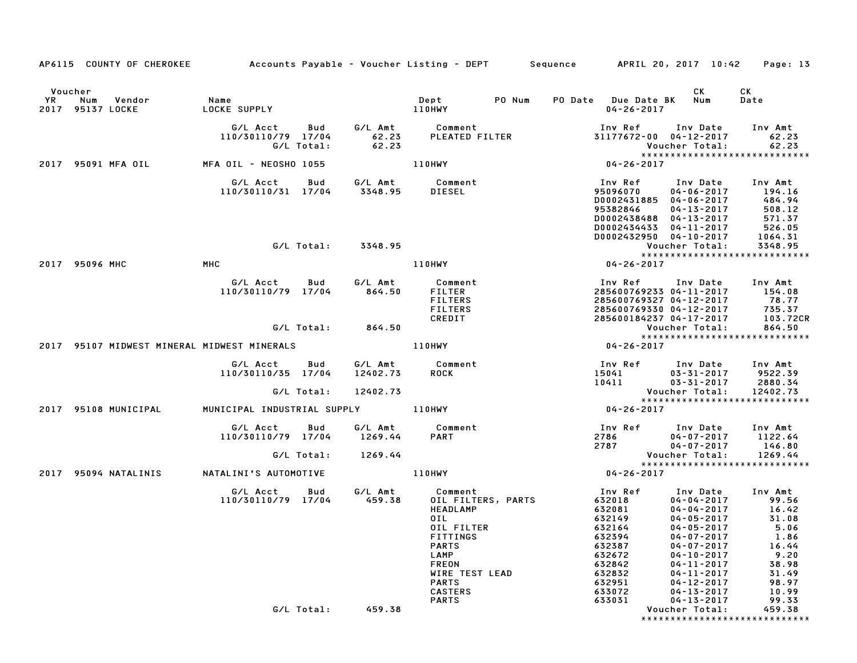|           |                |                                | AP6115 COUNTY OF CHEROKEE Accounts Payable - Voucher Listing - DEPT Sequence APRIL 20, 2017 10:42 Page: 13 |                   |                     |                                                                                                                                       |                    |                                                                                                                                                |                                                                                                                                                                                                            |                                                                                                |
|-----------|----------------|--------------------------------|------------------------------------------------------------------------------------------------------------|-------------------|---------------------|---------------------------------------------------------------------------------------------------------------------------------------|--------------------|------------------------------------------------------------------------------------------------------------------------------------------------|------------------------------------------------------------------------------------------------------------------------------------------------------------------------------------------------------------|------------------------------------------------------------------------------------------------|
| Voucher   |                |                                |                                                                                                            |                   |                     |                                                                                                                                       |                    |                                                                                                                                                | CK                                                                                                                                                                                                         | CK                                                                                             |
| <b>YR</b> |                | Num Vendor<br>2017 95137 LOCKE | Name<br>LOCKE SUPPLY                                                                                       |                   |                     | Dept PO Num<br>110HWY                                                                                                                 |                    | PO Date Due Date BK Num<br>$04 - 26 - 2017$                                                                                                    |                                                                                                                                                                                                            | Date                                                                                           |
|           |                |                                | G/L Acct<br>110/30110/79 17/04                                                                             | Bud<br>G/L Total: | 62.23               | G/L Amt          Comment<br>62.23       PLEATED FILTER                                                                                |                    | Inv Ref      Inv Date     Inv Amt<br>31177672-00 04-12-2017                                                                                    | Voucher Total:                                                                                                                                                                                             | 62.23<br>62.23<br>*****************************                                                |
|           |                | 2017 95091 MFA OIL             | MFA OIL - NEOSHO 1055                                                                                      |                   |                     | 110HWY                                                                                                                                |                    | 04-26-2017                                                                                                                                     |                                                                                                                                                                                                            |                                                                                                |
|           |                |                                | G/L Acct<br>110/30110/31 17/04 3348.95                                                                     | Bud               |                     | G/L Amt Comment<br>DIESEL                                                                                                             |                    | Inv Ref      Inv Date<br>95096070<br>D0002431885 04-06-2017<br>95382846<br>D0002438488 04-13-2017<br>D0002434433 04-11-2017                    | $04 - 06 - 2017$<br>$04 - 13 - 2017$                                                                                                                                                                       | Inv Amt<br>194.16<br>484.94<br>508.12<br>571.37<br>5.11.07                                     |
|           |                |                                |                                                                                                            |                   | G/L Total: 3348.95  |                                                                                                                                       |                    | D0002432950 04-10-2017                                                                                                                         | Voucher Total:                                                                                                                                                                                             | 1064.31<br>3348.95                                                                             |
|           | 2017 95096 MHC |                                | MHC                                                                                                        |                   |                     | <b>110HWY</b>                                                                                                                         |                    | $04 - 26 - 2017$                                                                                                                               |                                                                                                                                                                                                            | *****************************                                                                  |
|           |                |                                | G/L Acct<br>110/30110/79 17/04                                                                             | Bud               | G/L Amt<br>864.50   | Comment<br>FILTER<br><b>FILTERS</b><br><b>FILTERS</b><br>CREDIT                                                                       |                    | Inv Ref Inv Date<br>285600769233 04-11-2017 154.08<br>285600769327 04-12-2017 78.77<br>285600769330 04-12-2017<br>285600184237 04-17-2017      |                                                                                                                                                                                                            | Inv Amt<br>735.37<br>103.72CR                                                                  |
|           |                |                                |                                                                                                            |                   | $G/L$ Total: 864.50 |                                                                                                                                       |                    |                                                                                                                                                | Voucher Total:                                                                                                                                                                                             | 864.50<br>*****************************                                                        |
|           |                |                                | 2017 95107 MIDWEST MINERAL MIDWEST MINERALS                                                                |                   |                     | 110HWY                                                                                                                                |                    | 04-26-2017                                                                                                                                     |                                                                                                                                                                                                            |                                                                                                |
|           |                |                                | G/L Acct<br>110/30110/35 17/04                                                                             | Bud               | 12402.73            | G/L Amt Comment<br><b>ROCK</b>                                                                                                        |                    | Inv Ref      Inv Date    Inv Amt<br>15041         03–31–2017      9522.39<br>10411 03-31-2017                                                  | $03 - 31 - 2017$ 9522.39                                                                                                                                                                                   | 2880.34                                                                                        |
|           |                |                                |                                                                                                            | G/L Total:        | 12402.73            |                                                                                                                                       |                    |                                                                                                                                                | Voucher Total:                                                                                                                                                                                             | 12402.73<br>*****************************                                                      |
|           |                | 2017 95108 MUNICIPAL           | MUNICIPAL INDUSTRIAL SUPPLY 110HWY                                                                         |                   |                     |                                                                                                                                       |                    | 04-26-2017                                                                                                                                     |                                                                                                                                                                                                            |                                                                                                |
|           |                |                                | G/L Acct<br>110/30110/79 17/04                                                                             | Bud               | 1269.44             | G/L Amt Comment<br><b>PART</b>                                                                                                        |                    | Inv Ref      Inv Date     Inv Amt<br>2786             04-07-2017       1122.64<br>2786<br>2786 04-07-2017<br>2787 04-07-2017<br>Voucher Total: |                                                                                                                                                                                                            | 146.80                                                                                         |
|           |                |                                |                                                                                                            | G/L Total:        | 1269.44             |                                                                                                                                       |                    |                                                                                                                                                |                                                                                                                                                                                                            | 1269.44<br>*****************************                                                       |
|           |                | 2017 95094 NATALINIS           | NATALINI'S AUTOMOTIVE                                                                                      |                   |                     | 110HWY                                                                                                                                |                    | 04-26-2017                                                                                                                                     |                                                                                                                                                                                                            |                                                                                                |
|           |                |                                | G/L Acct<br>110/30110/79 17/04                                                                             | Bud               | G/L Amt<br>459.38   | Comment<br><b>HEADLAMP</b><br>OIL<br>OIL FILTER<br><b>FITTINGS</b><br><b>PARTS</b><br>LAMP<br>FREON<br>WIRE TEST LEAD<br><b>PARTS</b> | OIL FILTERS, PARTS | Inv Ref<br>632018<br>632081<br>632149<br>632164<br>632394<br>632387<br>632672<br>632842<br>632832<br>632951                                    | Inv Date<br>$04 - 04 - 2017$<br>$04 - 04 - 2017$<br>$04 - 05 - 2017$<br>$04 - 05 - 2017$<br>$04 - 07 - 2017$<br>$04 - 07 - 2017$<br>$04 - 10 - 2017$<br>04-11-2017<br>$04 - 11 - 2017$<br>$04 - 12 - 2017$ | Inv Amt<br>99.56<br>16.42<br>31.08<br>5.06<br>1.86<br>16.44<br>9.20<br>38.98<br>31.49<br>98.97 |
|           |                |                                |                                                                                                            | G/L Total:        | 459.38              | <b>CASTERS</b><br><b>PARTS</b>                                                                                                        |                    | 633072<br>633031                                                                                                                               | 04-13-2017<br>$04 - 13 - 2017$<br>Voucher Total:                                                                                                                                                           | 10.99<br>99.33<br>459.38                                                                       |
|           |                |                                |                                                                                                            |                   |                     |                                                                                                                                       |                    |                                                                                                                                                |                                                                                                                                                                                                            | ******************************                                                                 |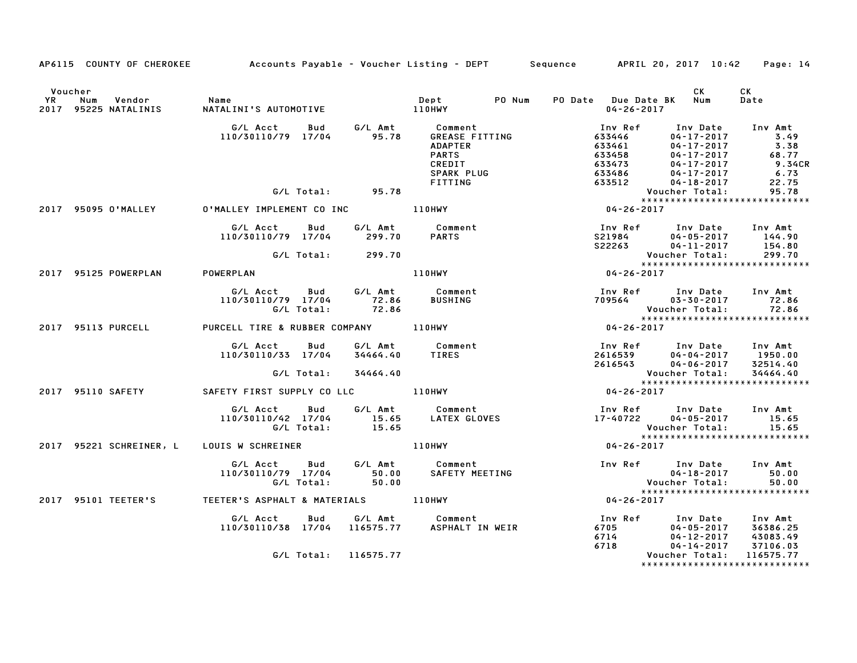|                                                                            | AP6115 COUNTY OF CHEROKEE Accounts Payable - Voucher Listing - DEPT Sequence APRIL 20, 2017 10:42 Page: 14 |                |                                                                                             |                                                                                                                                                                                                                                  |                                                                                                                                                                                                                               |                                                                                                  |
|----------------------------------------------------------------------------|------------------------------------------------------------------------------------------------------------|----------------|---------------------------------------------------------------------------------------------|----------------------------------------------------------------------------------------------------------------------------------------------------------------------------------------------------------------------------------|-------------------------------------------------------------------------------------------------------------------------------------------------------------------------------------------------------------------------------|--------------------------------------------------------------------------------------------------|
| Voucher<br>YR Num Vendor – Name<br>2017 95225 NATALINIS – NATALINI'S AUTOM |                                                                                                            |                |                                                                                             | PO Date Due Date BK Num<br>04-26-2017                                                                                                                                                                                            | <b>CK</b>                                                                                                                                                                                                                     | CK<br>Date                                                                                       |
|                                                                            | G/L Acct Bud G/L Amt Comment<br>110/30110/79 17/04 95.78 GREASE FITTING                                    |                | GREASE FITTING<br><b>ADAPTER</b><br><b>PARTS</b><br>CREDIT<br>SPARK PLUG<br>FITTING<br>JHWY |                                                                                                                                                                                                                                  | Inv Ref Inv Date<br>633446 04–17–2017<br>$04 - 17 - 2017$ 3.49<br>$\begin{array}{cc} & uq-17-2017\\ 633461 & 04-17-2017\\ 633458 & 04-17-2017\\ 633473 & 04-17-2017\\ 633486 & 04-17-2017\\ 63512 & 04-18-2017\\ \end{array}$ | Inv Amt<br>$\begin{array}{c} 3.2 \\ 68.77 \\ 9.34 \end{array}$<br><b>9.34CR</b><br>6.73<br>22.75 |
|                                                                            |                                                                                                            |                |                                                                                             |                                                                                                                                                                                                                                  | Voucher Total:<br>*****************************                                                                                                                                                                               | 95.78                                                                                            |
| 2017 95095 O'MALLEY                                                        | 0'MALLEY IMPLEMENT CO INC 110HWY                                                                           |                |                                                                                             | $04 - 26 - 2017$                                                                                                                                                                                                                 |                                                                                                                                                                                                                               |                                                                                                  |
|                                                                            | G/L Acct Bud<br>110/30110/79 17/04<br>G/L Total: 299.70                                                    | 299.70         | G/L Amt Comment<br><b>PARTS</b>                                                             |                                                                                                                                                                                                                                  | Inv Ref Inv Date Inv Amt<br>$\begin{array}{cccc} 521984 & 04-05-2017 & 144.90 \\ 522263 & 04-11-2017 & 154.80 \end{array}$<br>Voucher Total:                                                                                  | 299.70                                                                                           |
|                                                                            |                                                                                                            |                |                                                                                             | Vouc<br>*****<br>04-26-2017                                                                                                                                                                                                      | *****************************                                                                                                                                                                                                 |                                                                                                  |
| 2017 95125 POWERPLAN                                                       | <b>POWERPLAN</b>                                                                                           |                | <b>110HWY</b>                                                                               |                                                                                                                                                                                                                                  |                                                                                                                                                                                                                               |                                                                                                  |
|                                                                            | G/L Acct  Bud  G/L Amt  Comment<br>110/30110/79  17/04  72.86  BUSHING<br>G/L Total:  72.86                |                |                                                                                             |                                                                                                                                                                                                                                  | Inv Ref       Inv Date     Inv Amt<br>709564          03-30-2017          72.86<br>Voucher Total:<br>*****************************                                                                                            | 72.86                                                                                            |
|                                                                            | 2017 95113 PURCELL PURCELL TIRE & RUBBER COMPANY 110HWY                                                    |                |                                                                                             | $04 - 26 - 2017$                                                                                                                                                                                                                 |                                                                                                                                                                                                                               |                                                                                                  |
|                                                                            | G/L Acct Bud<br>110/30110/33 17/04                                                                         | 34464.40       | G/L Amt Comment<br><b>TIRES</b>                                                             | 100 ALL 2616539<br>2616539 04-06-2017<br>2616543 04-06-2017<br>24-2017<br>26-2017                                                                                                                                                |                                                                                                                                                                                                                               |                                                                                                  |
|                                                                            | G/L Total: 34464.40                                                                                        |                |                                                                                             |                                                                                                                                                                                                                                  |                                                                                                                                                                                                                               |                                                                                                  |
|                                                                            | 2017 95110 SAFETY <b>SAFETY FIRST SUPPLY CO LLC</b> 110HWY                                                 |                |                                                                                             |                                                                                                                                                                                                                                  |                                                                                                                                                                                                                               |                                                                                                  |
|                                                                            | G/L Acct<br><b>Bud</b><br>110/30110/42 17/04 15.65<br>G/L Total:                                           | 15.65          |                                                                                             | 17-40722                                                                                                                                                                                                                         | Inv Ref Inv Date Inv Amt<br>17-40722 04-05-2017 15.65<br>Voucher Total: 15.65<br>****************************                                                                                                                 | 15.65                                                                                            |
| 2017 95221 SCHREINER, L LOUIS W SCHREINER                                  |                                                                                                            |                | 110HWY                                                                                      | 04-26-2017                                                                                                                                                                                                                       |                                                                                                                                                                                                                               |                                                                                                  |
|                                                                            | G/L Acct<br>110/30110/79 17/04<br>G/L Total:                                                               | 50.00<br>50.00 | Bud G/L Amt Comment<br>SAFETY MEETING                                                       |                                                                                                                                                                                                                                  | Inv Ref Inv Date Inv Amt<br>$04 - 18 - 2017$<br>Voucher Total:<br>*****************************                                                                                                                               | 50.00<br>50.00                                                                                   |
| 2017 95101 TEETER'S                                                        |                                                                                                            |                |                                                                                             | $04 - 26 - 2017$                                                                                                                                                                                                                 |                                                                                                                                                                                                                               |                                                                                                  |
|                                                                            | G/L Acct<br>Bud<br>110/30110/38 17/04 116575.77                                                            |                | G/L Amt Comment                                                                             | اس الساب المستوى المستوى المستوى المستوى المستوى المستوى المستوى المستوى المستوى المستوى المستوى المستوى المست<br>14-15-2017 - 14-15-2017 14-2018 14-15-2017 14-2018 14-15-2017 14-2018 14-15-2018 14-2018 14-2018 14-2018 14-20 | $6705$<br>$6714$<br>$6714$<br>$6714$<br>$6718$<br>$6718$<br>$6718$<br>$6718$<br>$6718$<br>$6718$<br>$6718$<br>$6718$<br>$6718$<br>$6718$<br>$6718$<br>$6718$<br>$6718$<br>$6718$<br>$6718$                                    |                                                                                                  |
|                                                                            | G/L Total: 116575.77                                                                                       |                |                                                                                             |                                                                                                                                                                                                                                  | Voucher Total:<br>*****************************                                                                                                                                                                               | 116575.77                                                                                        |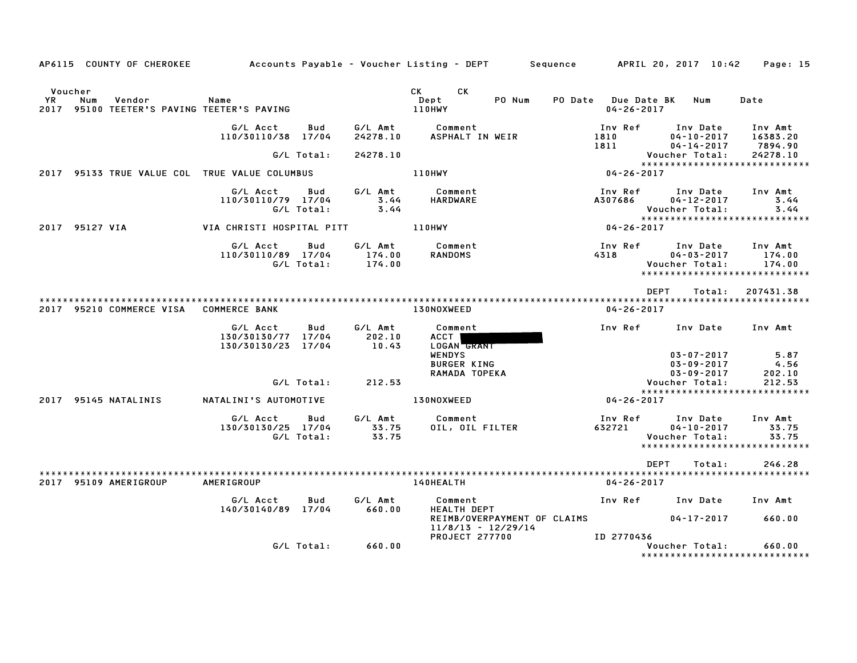|                      | AP6115 COUNTY OF CHEROKEE                                   |                                                      |                   |                             | Accounts Payable – Voucher Listing – DEPT         Sequence         APRIL 20, 2017  10:42                                                                                                                                                                         |                                         |                                                                                  | Page: 15                       |
|----------------------|-------------------------------------------------------------|------------------------------------------------------|-------------------|-----------------------------|------------------------------------------------------------------------------------------------------------------------------------------------------------------------------------------------------------------------------------------------------------------|-----------------------------------------|----------------------------------------------------------------------------------|--------------------------------|
| Voucher<br><b>YR</b> | Num<br>Vendor<br>2017 95100 TEETER'S PAVING TEETER'S PAVING | Name                                                 |                   |                             | CK<br>CK and the set of the set of the set of the set of the set of the set of the set of the set of the set of the set of the set of the set of the set of the set of the set of the set of the set of the set of the set of the se<br>Dept<br>PO Num<br>110HWY | PO Date Due Date BK<br>$04 - 26 - 2017$ | Num                                                                              | Date                           |
|                      |                                                             | G/L Acct<br>110/30110/38 17/04                       | Bud               | G/L Amt<br>24278.10         | Comment<br>ASPHALT IN WEIR                                                                                                                                                                                                                                       | Inv Ref<br>1810<br>1811                 | Inv Date<br>$04 - 10 - 2017$<br>$04 - 14 - 2017$                                 | Inv Amt<br>16383.20<br>7894.90 |
|                      |                                                             |                                                      | G/L Total:        | 24278.10                    |                                                                                                                                                                                                                                                                  |                                         | Voucher Total:<br>*****************************                                  | 24278.10                       |
|                      | 2017 95133 TRUE VALUE COL TRUE VALUE COLUMBUS               |                                                      |                   |                             | <b>110HWY</b>                                                                                                                                                                                                                                                    | 04-26-2017                              |                                                                                  |                                |
|                      |                                                             | G/L Acct<br>110/30110/79 17/04                       | Bud<br>G/L Total: | G/L Amt<br>3.44<br>3.44     | Comment<br><b>HARDWARE</b>                                                                                                                                                                                                                                       | Inv Ref<br>A307686                      | Inv Date<br>04-12-2017<br>Voucher Total:<br>*****************************        | Inv Amt<br>3.44<br>3.44        |
|                      | 2017 95127 VIA                                              | VIA CHRISTI HOSPITAL PITT                            |                   |                             | 110HWY                                                                                                                                                                                                                                                           | 04-26-2017                              |                                                                                  |                                |
|                      |                                                             | G/L Acct<br>110/30110/89 17/04                       | Bud<br>G/L Total: | G/L Amt<br>174.00<br>174.00 | Comment<br><b>RANDOMS</b>                                                                                                                                                                                                                                        | Inv Ref<br>4318                         | Inv Date<br>$04 - 03 - 2017$<br>Voucher Total:<br>*****************************  | Inv Amt<br>174.00<br>174.00    |
|                      | 2017 95210 COMMERCE VISA COMMERCE BANK                      |                                                      |                   |                             | 130NOXWEED                                                                                                                                                                                                                                                       | 04-26-2017                              | DEPT<br>Total:                                                                   | 207431.38                      |
|                      |                                                             | G/L Acct<br>130/30130/77 17/04<br>130/30130/23 17/04 | Bud               | G/L Amt<br>202.10<br>10.43  | Comment<br>ACCT  <br>LOGAN GRANT                                                                                                                                                                                                                                 | Inv Ref                                 | Inv Date                                                                         | Inv Amt                        |
|                      |                                                             |                                                      |                   |                             | <b>WENDYS</b><br><b>BURGER KING</b><br>RAMADA TOPEKA                                                                                                                                                                                                             |                                         | 03-07-2017<br>03-09-2017<br>03-09-2017                                           | 5.87<br>4.56<br>202.10         |
|                      |                                                             |                                                      | G/L Total:        | 212.53                      |                                                                                                                                                                                                                                                                  |                                         | Voucher Total:<br>*****************************                                  | 212.53                         |
|                      | 2017 95145 NATALINIS                                        | NATALINI'S AUTOMOTIVE                                |                   |                             | <b>130NOXWEED</b>                                                                                                                                                                                                                                                | 04-26-2017                              |                                                                                  |                                |
|                      |                                                             | G/L Acct<br>130/30130/25 17/04                       | Bud<br>G/L Total: | G/L Amt<br>33.75<br>33.75   | Comment<br>OIL, OIL FILTER                                                                                                                                                                                                                                       | Inv Ref<br>632721                       | Inv Date<br>$04 - 10 - 2017$<br>Voucher Total:<br>****************************** | Inv Amt<br>33.75<br>33.75      |
|                      |                                                             |                                                      |                   |                             |                                                                                                                                                                                                                                                                  |                                         | <b>DEPT</b><br>Total:                                                            | 246.28                         |
|                      | 2017 95109 AMERIGROUP                                       | AMERIGROUP                                           |                   |                             | 140HEALTH                                                                                                                                                                                                                                                        | $04 - 26 - 2017$                        |                                                                                  |                                |
|                      |                                                             | G/L Acct<br>140/30140/89 17/04                       | Bud               | G/L Amt<br>660.00           | Comment<br><b>HEALTH DEPT</b>                                                                                                                                                                                                                                    | Inv Ref                                 | Inv Date                                                                         | Inv Amt                        |
|                      |                                                             |                                                      |                   |                             | REIMB/OVERPAYMENT OF CLAIMS<br>$11/8/13 - 12/29/14$<br><b>PROJECT 277700</b>                                                                                                                                                                                     | ID 2770436                              | $04 - 17 - 2017$                                                                 | 660.00                         |
|                      |                                                             |                                                      | G/L Total:        | 660.00                      |                                                                                                                                                                                                                                                                  |                                         | Voucher Total:<br>****************************                                   | 660.00                         |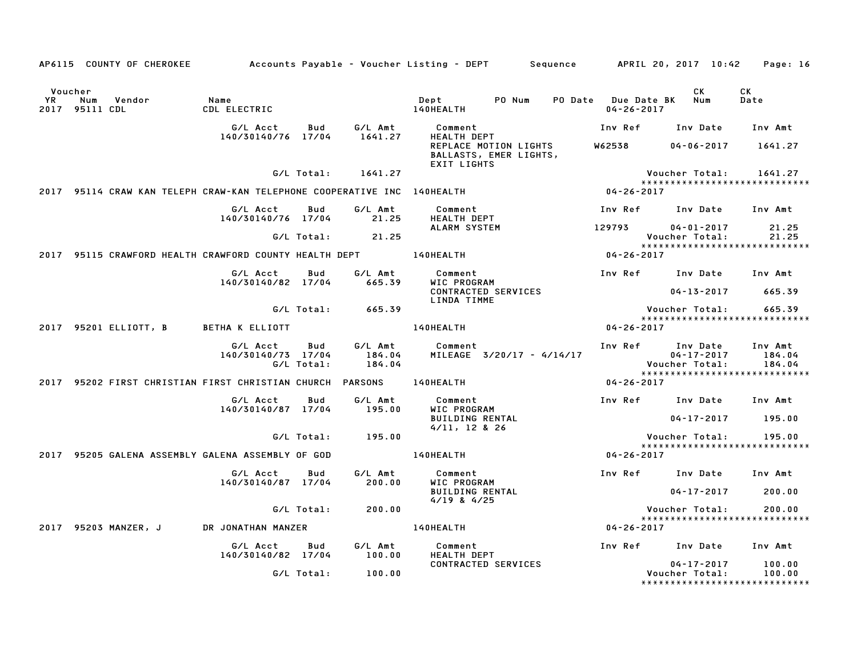|    |                                  | AP6115 COUNTY OF CHEROKEE |                                                                         |            |                             | Accounts Payable – Voucher Listing – DEPT       Sequence      APRIL 20, 2017 10:42 |                                             |                                                                        | Page: 16                    |
|----|----------------------------------|---------------------------|-------------------------------------------------------------------------|------------|-----------------------------|------------------------------------------------------------------------------------|---------------------------------------------|------------------------------------------------------------------------|-----------------------------|
| YR | Voucher<br>Num<br>2017 95111 CDL | Vendor                    | Name<br>CDL ELECTRIC                                                    |            |                             | PO Num<br>Dept<br><b>140HEALTH</b>                                                 | PO Date Due Date BK Num<br>$04 - 26 - 2017$ | CK.                                                                    | CK<br>Date                  |
|    |                                  |                           | G/L Acct                                                                | Bud        | G/L Amt                     | Comment<br>HEALTH DEPT                                                             |                                             | Inv Ref Inv Date Inv Amt                                               |                             |
|    |                                  |                           | 140/30140/76 17/04                                                      |            | 1641.27                     | REPLACE MOTION LIGHTS<br>BALLASTS, EMER LIGHTS,<br><b>EXIT LIGHTS</b>              | <b>W62538</b>                               | $04 - 06 - 2017$                                                       | 1641.27                     |
|    |                                  |                           |                                                                         | G/L Total: | 1641.27                     |                                                                                    |                                             | Voucher Total:<br>******************************                       | 1641.27                     |
|    |                                  |                           | 2017 95114 CRAW KAN TELEPH CRAW-KAN TELEPHONE COOPERATIVE INC 140HEALTH |            |                             |                                                                                    | $04 - 26 - 2017$                            |                                                                        |                             |
|    |                                  |                           | G/L Acct<br>140/30140/76 17/04                                          | Bud        | G/L Amt<br>21.25            | Comment<br>HEALTH DEPT                                                             |                                             | Inv Ref      Inv Date     Inv Amt                                      |                             |
|    |                                  |                           |                                                                         |            | $G/L$ Total: 21.25          | ALARM SYSTEM                                                                       | 129793                                      | $04 - 01 - 2017$<br>Voucher Total:<br>******************************   | 21.25<br>21.25              |
|    |                                  |                           | 2017 95115 CRAWFORD HEALTH CRAWFORD COUNTY HEALTH DEPT 40HEALTH         |            |                             |                                                                                    | $04 - 26 - 2017$                            |                                                                        |                             |
|    |                                  |                           | G/L Acct   Bud                                                          |            | G/L Amt                     | Comment                                                                            |                                             | Inv Ref Inv Date Inv Amt                                               |                             |
|    |                                  |                           | 140/30140/82 17/04                                                      |            | 665.39                      | WIC PROGRAM<br>CONTRACTED SERVICES<br><b>LINDA TIMME</b>                           |                                             | $04 - 13 - 2017$                                                       | 665.39                      |
|    |                                  |                           |                                                                         |            | $G/L$ Total: 665.39         |                                                                                    |                                             | Voucher Total: 665.39<br>*****************************                 |                             |
|    |                                  |                           | 2017 95201 ELLIOTT, B BETHA K ELLIOTT                                   |            |                             | 140HEALTH                                                                          | 04-26-2017                                  |                                                                        |                             |
|    |                                  |                           | G/L Acct Bud<br>140/30140/73 17/04                                      | G/L Total: | G/L Amt<br>184.04<br>184.04 | Comment<br>MILEAGE 3/20/17 - 4/14/17                                               |                                             | Inv Ref Inv Date<br>04-17-2017<br>  Voucher Total                      | Inv Amt<br>184.04<br>184.04 |
|    |                                  |                           |                                                                         |            |                             | 2017 95202 FIRST CHRISTIAN FIRST CHRISTIAN CHURCH PARSONS 140HEALTH                | 04-26-2017                                  | ******************************                                         |                             |
|    |                                  |                           | G/L Acct<br>140/30140/87 17/04                                          | Bud        | G/L Amt<br>195.00           | Comment<br>WIC PROGRAM                                                             |                                             | Inv Ref Inv Date Inv Amt                                               |                             |
|    |                                  |                           |                                                                         |            |                             | <b>BUILDING RENTAL</b><br>4/11, 12 & 26                                            |                                             | $04 - 17 - 2017$                                                       | 195.00                      |
|    |                                  |                           |                                                                         | G/L Total: | 195.00                      |                                                                                    |                                             | Voucher Total:<br>*****************************                        | 195.00                      |
|    |                                  |                           | 2017 95205 GALENA ASSEMBLY GALENA ASSEMBLY OF GOD                       |            |                             | <b>140HEALTH</b>                                                                   | 04-26-2017                                  |                                                                        |                             |
|    |                                  |                           | G/L Acct<br>140/30140/87 17/04                                          | Bud        | G/L Amt<br>200.00           | Comment<br>WIC PROGRAM                                                             |                                             | Inv Ref Inv Date Inv Amt                                               |                             |
|    |                                  |                           |                                                                         |            |                             | <b>BUILDING RENTAL</b><br>$4/19$ & $4/25$                                          |                                             | 04-17-2017                                                             | 200.00                      |
|    |                                  |                           |                                                                         | G/L Total: | 200.00                      |                                                                                    |                                             | Voucher Total:<br>******************************                       | 200.00                      |
|    |                                  | 2017 95203 MANZER, J      | DR JONATHAN MANZER                                                      |            |                             | 140HEALTH                                                                          | 04-26-2017                                  |                                                                        |                             |
|    |                                  |                           | G/L Acct<br>140/30140/82 17/04                                          | Bud        | G/L Amt<br>100.00           | Comment<br>HEALTH DEPT                                                             |                                             | Inv Ref Inv Date                                                       | Inv Amt                     |
|    |                                  |                           |                                                                         | G/L Total: | 100.00                      | CONTRACTED SERVICES                                                                |                                             | $04 - 17 - 2017$<br>Voucher Total:<br>******************************** | 100.00<br>100.00            |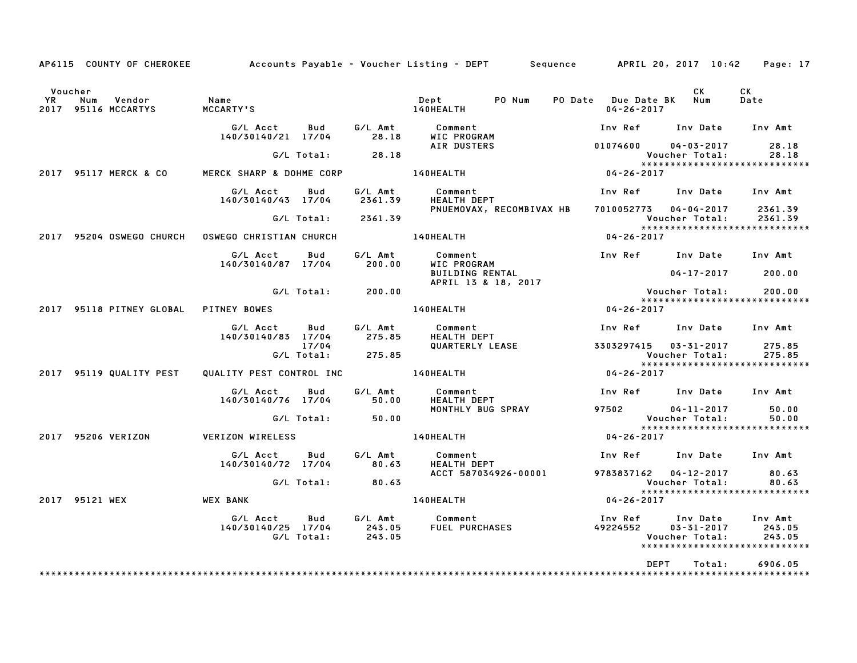|    | AP6115 COUNTY OF CHEROKEE                       | Accounts Payable – Voucher Listing – DEPT      Sequence     APRIL 20, 2017 10:42 |                     |                    |                                              |                          |                                             |                                    | Page: 17                                                      |
|----|-------------------------------------------------|----------------------------------------------------------------------------------|---------------------|--------------------|----------------------------------------------|--------------------------|---------------------------------------------|------------------------------------|---------------------------------------------------------------|
| YR | Voucher<br>Vendor<br>Num<br>2017 95116 MCCARTYS | Name<br>MCCARTY'S                                                                |                     |                    | Dept<br>140HEALTH                            | PO Num                   | PO Date Due Date BK Num<br>$04 - 26 - 2017$ | CK                                 | CK<br>Date                                                    |
|    |                                                 | G/L Acct<br>140/30140/21 17/04                                                   | Bud                 | G⁄L Amt<br>28.18   | Comment<br>WIC PROGRAM                       |                          | Inv Ref Inv Date                            |                                    | Inv Amt                                                       |
|    |                                                 |                                                                                  |                     | G/L Total: 28.18   | AIR DUSTERS                                  |                          | 01074600                                    | $04 - 03 - 2017$<br>Voucher Total: | 28.18<br>28.18                                                |
|    | 2017 95117 MERCK & CO                           | MERCK SHARP & DOHME CORP                                                         |                     |                    | <b>140HEALTH</b>                             |                          | $04 - 26 - 2017$                            |                                    |                                                               |
|    |                                                 | G/L Acct<br>140/30140/43 17/04                                                   | Bud                 | G/L Amt<br>2361.39 | Comment<br><b>HEALTH DEPT</b>                |                          | Inv Ref Inv Date Inv Amt                    |                                    |                                                               |
|    |                                                 |                                                                                  |                     | G/L Total: 2361.39 | PNUEMOVAX, RECOMBIVAX HB                     |                          | 7010052773 04-04-2017                       | Voucher Total:                     | 2361.39<br>2361.39                                            |
|    | 2017 95204 OSWEGO CHURCH                        | OSWEGO CHRISTIAN CHURCH                                                          |                     |                    | <b>140HEALTH</b>                             |                          | 04-26-2017                                  |                                    | *****************************                                 |
|    |                                                 | G/L Acct<br>140/30140/87 17/04                                                   | Bud                 | G/L Amt<br>200.00  | Comment<br>WIC PROGRAM                       |                          | Inv Ref Inv Date                            |                                    | Inv Amt                                                       |
|    |                                                 |                                                                                  |                     |                    | BUILDING RENTAL<br>APRIL 13 & 18, 2017       |                          |                                             | $04 - 17 - 2017$ 200.00            |                                                               |
|    |                                                 |                                                                                  |                     | G/L Total: 200.00  |                                              |                          |                                             | Voucher Total:                     | 200.00<br>******************************                      |
|    |                                                 |                                                                                  |                     |                    | 140HEALTH                                    |                          | $04 - 26 - 2017$                            |                                    |                                                               |
|    |                                                 | G/L Acct<br>140/30140/83 17/04                                                   | Bud                 | G/L Amt<br>275.85  | Comment<br>HEALTH DEPT                       |                          | Inv Ref Inv Date Inv Amt                    |                                    |                                                               |
|    |                                                 |                                                                                  | 17/04<br>G/L Total: | 275.85             | QUARTERLY LEASE                              |                          | 3303297415  03-31-2017                      | Voucher Total:                     | 275.85<br>275.85<br>*****************************             |
|    | 2017 95119 QUALITY PEST                         | QUALITY PEST CONTROL INC 140HEALTH                                               |                     |                    |                                              |                          | $04 - 26 - 2017$                            |                                    |                                                               |
|    |                                                 | G/L Acct<br>140/30140/76 17/04                                                   | Bud                 | G/L Amt<br>50.00   | Comment<br><b>HEALTH DEPT</b>                |                          | Inv Ref Inv Date Inv Amt                    |                                    |                                                               |
|    |                                                 |                                                                                  | G/L Total:          | 50.00              | MONTHLY BUG SPRAY                            |                          | 97502                                       | $04 - 11 - 2017$<br>Voucher Total: | 50.00<br>50.00                                                |
|    | 2017 95206 VERIZON                              | VERIZON WIRELESS                                                                 |                     |                    | 140HEALTH                                    |                          | $04 - 26 - 2017$                            |                                    | *****************************                                 |
|    |                                                 | G/L Acct<br>140/30140/72 17/04                                                   | <b>Bud</b>          | G/L Amt<br>80.63   | Comment<br><b>HEALTH DEPT</b>                | Inv Ref Inv Date Inv Amt |                                             |                                    |                                                               |
|    |                                                 |                                                                                  | G/L Total:          | 80.63              | ACCT 587034926-00001                         |                          | 9783837162 04-12-2017                       | Voucher Total:                     | 80.63<br>80.63                                                |
|    | 2017 95121 WEX                                  | WEX BANK                                                                         |                     |                    | 140HEALTH                                    |                          | $04 - 26 - 2017$                            |                                    | ******************************                                |
|    |                                                 | G/L Acct<br>140/30140/25 17/04                                                   | Bud<br>G/L Total:   | 243.05<br>243.05   | G/L Amt Comment<br>Comment<br>FUEL PURCHASES |                          | Inv Ref      Inv Date<br>49224552           | 03-31-2017<br>Voucher Total:       | Inv Amt<br>243.05<br>243.05<br>****************************** |
|    |                                                 |                                                                                  |                     |                    |                                              |                          | <b>DEPT</b>                                 | Total:                             | 6906.05                                                       |
|    |                                                 |                                                                                  |                     |                    |                                              |                          |                                             |                                    |                                                               |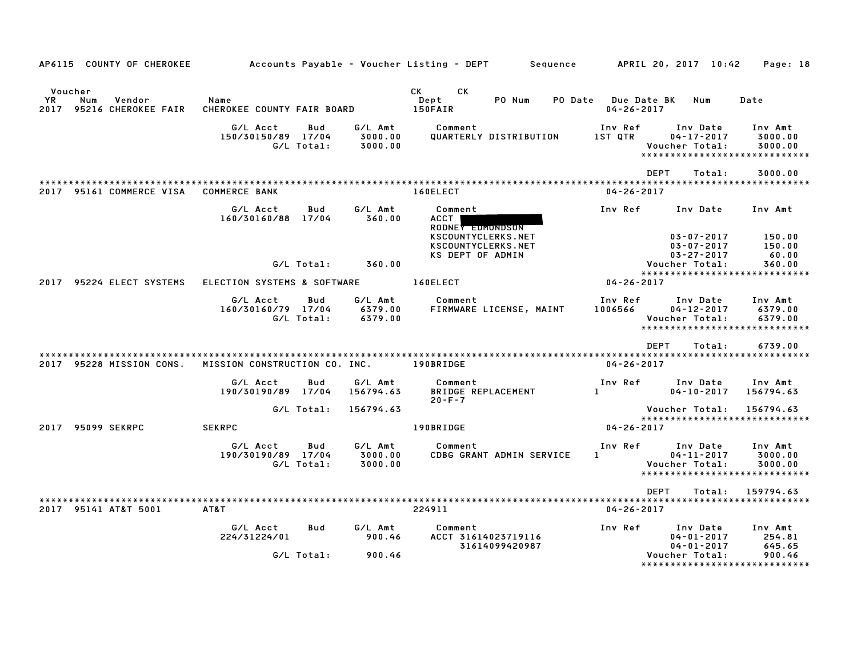| AP6115 COUNTY OF CHEROKEE                                  |                                                     |                               | Accounts Payable – Voucher Listing – DEPT         Sequence   |                                         | APRIL 20, 2017 10:42                                                       | Page: 18                                                        |
|------------------------------------------------------------|-----------------------------------------------------|-------------------------------|--------------------------------------------------------------|-----------------------------------------|----------------------------------------------------------------------------|-----------------------------------------------------------------|
| Voucher<br>YR<br>Num<br>Vendor<br>2017 95216 CHEROKEE FAIR | Name<br>CHEROKEE COUNTY FAIR BOARD                  |                               | CK<br><b>CK</b><br>PO Num<br>Dept<br>150FAIR                 | PO Date Due Date BK<br>$04 - 26 - 2017$ | Num                                                                        | Date                                                            |
|                                                            | G/L Acct<br>Bud<br>150/30150/89 17/04<br>G/L Total: | G/L Amt<br>3000.00<br>3000.00 | Comment<br>QUARTERLY DISTRIBUTION                            | Inv Ref<br>IST OTR                      | Inv Date<br>$04 - 17 - 2017$<br>Voucher Total:                             | Inv Amt<br>3000.00<br>3000.00<br>*****************************  |
| 2017 95161 COMMERCE VISA                                   | <b>COMMERCE BANK</b>                                |                               | 160ELECT                                                     | <b>DEPT</b><br>$04 - 26 - 2017$         | Total:                                                                     | 3000.00                                                         |
|                                                            | G/L Acct<br>Bud<br>160/30160/88 17/04               | G/L Amt<br>360.00             | Comment<br>ACCT<br>RODNEY EDMONDSON                          | Inv Ref                                 | Inv Date                                                                   | Inv Amt                                                         |
|                                                            | G/L Total:                                          | 360.00                        | KSCOUNTYCLERKS.NET<br>KSCOUNTYCLERKS.NET<br>KS DEPT OF ADMIN |                                         | $03 - 07 - 2017$<br>$03 - 07 - 2017$<br>$03 - 27 - 2017$<br>Voucher Total: | 150.00<br>150.00<br>60.00<br>360.00                             |
| 2017 95224 ELECT SYSTEMS                                   | ELECTION SYSTEMS & SOFTWARE                         |                               | 160ELECT                                                     | 04-26-2017                              |                                                                            | ******************************                                  |
|                                                            | G/L Acct<br>Bud<br>160/30160/79 17/04<br>G/L Total: | G/L Amt<br>6379.00<br>6379.00 | Comment<br>FIRMWARE LICENSE, MAINT                           | Inv Ref<br>1006566                      | Inv Date<br>$04 - 12 - 2017$<br>Voucher Total:                             | Inv Amt<br>6379.00<br>6379.00<br>****************************** |
|                                                            |                                                     |                               |                                                              | DEPT                                    | Total:                                                                     | 6739.00                                                         |
| 2017 95228 MISSION CONS.                                   | MISSION CONSTRUCTION CO. INC.                       |                               | <b>190BRIDGE</b>                                             | $04 - 26 - 2017$                        |                                                                            |                                                                 |
|                                                            | G/L Acct<br>Bud<br>190/30190/89 17/04               | G/L Amt<br>156794.63          | Comment<br><b>BRIDGE REPLACEMENT</b><br>$20 - F - 7$         | Inv Ref<br>$1 - 1 - 1$                  | Inv Date<br>$04 - 10 - 2017$                                               | Inv Amt<br>156794.63                                            |
|                                                            | G/L Total:                                          | 156794.63                     |                                                              |                                         | Voucher Total:                                                             | 156794.63<br>******************************                     |
| 2017 95099 SEKRPC                                          | <b>SEKRPC</b>                                       |                               | 190BRIDGE                                                    | 04-26-2017                              |                                                                            |                                                                 |
|                                                            | G/L Acct<br>Bud<br>190/30190/89 17/04<br>G/L Total: | G/L Amt<br>3000.00<br>3000.00 | Comment<br>CDBG GRANT ADMIN SERVICE                          | Inv Ref<br>1                            | Inv Date<br>$04 - 11 - 2017$<br>Voucher Total:                             | Inv Amt<br>3000.00<br>3000.00<br>*****************************  |
|                                                            |                                                     |                               |                                                              | <b>DEPT</b>                             | Total:                                                                     | 159794.63                                                       |
| 2017 95141 AT&T 5001                                       | AT&T                                                |                               | 224911                                                       | $04 - 26 - 2017$                        |                                                                            |                                                                 |
|                                                            | G/L Acct<br>Bud<br>224/31224/01                     | G/L Amt<br>900.46             | Comment<br>ACCT 31614023719116<br>31614099420987             | Inv Ref                                 | Inv Date<br>$04 - 01 - 2017$<br>$04 - 01 - 2017$                           | Inv Amt<br>254.81<br>645.65                                     |
|                                                            | G/L Total:                                          | 900.46                        |                                                              |                                         | Voucher Total:<br>*****************                                        | 900.46<br>***********                                           |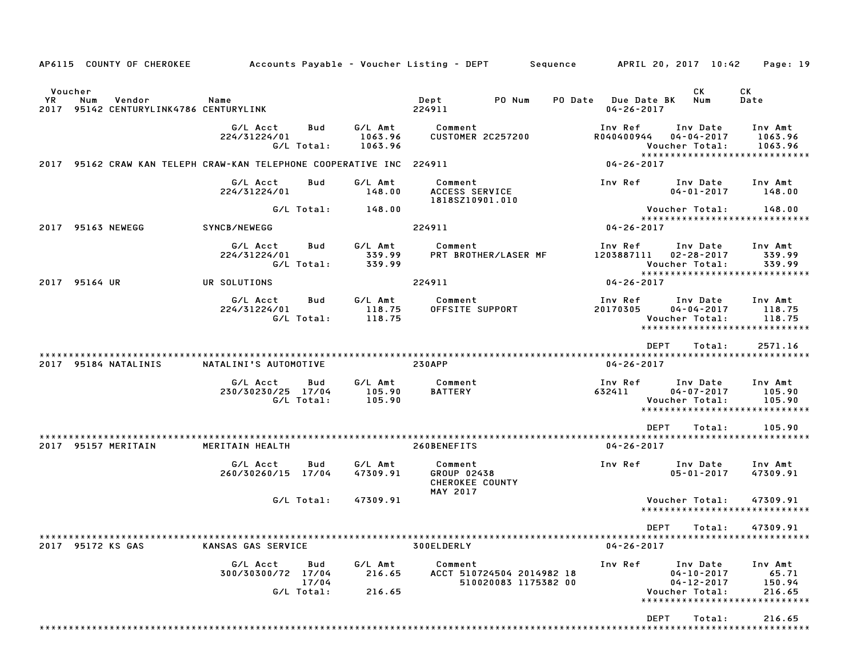| AP6115 COUNTY OF CHEROKEE                                            | Accounts Payable – Voucher Listing – DEPT         Sequence |                            |                               |                                                              |                                                   |                                         | APRIL 20, 2017 10:42                                                                                | Page: 19                             |
|----------------------------------------------------------------------|------------------------------------------------------------|----------------------------|-------------------------------|--------------------------------------------------------------|---------------------------------------------------|-----------------------------------------|-----------------------------------------------------------------------------------------------------|--------------------------------------|
| Voucher                                                              |                                                            |                            |                               |                                                              |                                                   |                                         | CK                                                                                                  | <b>CK</b>                            |
| <b>YR</b><br>Num<br>Vendor<br>2017 95142 CENTURYLINK4786 CENTURYLINK | Name                                                       |                            |                               | Dept<br>224911                                               | PO Num                                            | PO Date Due Date BK<br>$04 - 26 - 2017$ | Num                                                                                                 | Date                                 |
|                                                                      | G/L Acct<br>224/31224/01                                   | Bud<br>G/L Total:          | G/L Amt<br>1063.96<br>1063.96 | Comment                                                      | <b>CUSTOMER 2C257200</b>                          | Inv Ref<br>R040400944                   | Inv Date<br>$04 - 04 - 2017$<br>Voucher Total:<br>******************************                    | Inv Amt<br>1063.96<br>1063.96        |
| 2017 95162 CRAW KAN TELEPH CRAW-KAN TELEPHONE COOPERATIVE INC 224911 |                                                            |                            |                               |                                                              |                                                   | $04 - 26 - 2017$                        |                                                                                                     |                                      |
|                                                                      | G/L Acct<br>224/31224/01                                   | Bud                        | G/L Amt<br>148.00             | Comment<br>ACCESS SERVICE<br>1818SZ10901.010                 |                                                   | Inv Ref                                 | Inv Date<br>$04 - 01 - 2017$                                                                        | Inv Amt<br>148.00                    |
|                                                                      |                                                            | G/L Total:                 | 148.00                        |                                                              |                                                   |                                         | Voucher Total:<br>*****************************                                                     | 148.00                               |
| 2017 95163 NEWEGG                                                    | SYNCB/NEWEGG                                               |                            |                               | 224911                                                       |                                                   | $04 - 26 - 2017$                        |                                                                                                     |                                      |
|                                                                      | G/L Acct<br>224/31224/01                                   | Bud<br>G/L Total:          | G/L Amt<br>339.99<br>339.99   | Comment                                                      | PRT BROTHER/LASER MF                              | Inv Ref<br>1203887111                   | Inv Date<br>$02 - 28 - 2017$<br>Voucher Total:<br>******************************                    | Inv Amt<br>339.99<br>339.99          |
| 2017 95164 UR                                                        | UR SOLUTIONS                                               |                            |                               | 224911                                                       |                                                   | 04-26-2017                              |                                                                                                     |                                      |
|                                                                      | G/L Acct<br>224/31224/01                                   | Bud<br>G/L Total:          | G/L Amt<br>118.75<br>118.75   | Comment<br>OFFSITE SUPPORT                                   |                                                   | Inv Ref<br>20170305                     | Inv Date<br>$04 - 04 - 2017$<br>Voucher Total:<br>*****************************                     | Inv Amt<br>118.75<br>118.75          |
|                                                                      |                                                            |                            |                               |                                                              |                                                   |                                         | <b>DEPT</b><br>Total:                                                                               | 2571.16                              |
| 2017 95184 NATALINIS                                                 | NATALINI'S AUTOMOTIVE                                      |                            |                               | <b>230APP</b>                                                |                                                   | $04 - 26 - 2017$                        |                                                                                                     |                                      |
|                                                                      | G/L Acct<br>230/30230/25 17/04                             | Bud<br>G/L Total:          | G/L Amt<br>105.90<br>105.90   | Comment<br><b>BATTERY</b>                                    |                                                   | Inv Ref<br>632411                       | Inv Date<br>$04 - 07 - 2017$<br>Voucher Total:<br>*****************************                     | Inv Amt<br>105.90<br>105.90          |
|                                                                      |                                                            |                            |                               |                                                              |                                                   |                                         | <b>DEPT</b><br>Total:                                                                               | 105.90                               |
| 2017 95157 MERITAIN                                                  | MERITAIN HEALTH                                            |                            |                               | 260BENEFITS                                                  |                                                   | $04 - 26 - 2017$                        |                                                                                                     |                                      |
|                                                                      | G/L Acct<br>260/30260/15 17/04                             | Bud                        | G/L Amt<br>47309.91           | Comment<br>GROUP 02438<br>CHEROKEE COUNTY<br><b>MAY 2017</b> |                                                   | Inv Ref                                 | Inv Date<br>$05 - 01 - 2017$                                                                        | Inv Amt<br>47309.91                  |
|                                                                      |                                                            | G/L Total:                 | 47309.91                      |                                                              |                                                   |                                         | Voucher Total:                                                                                      | 47309.91                             |
|                                                                      |                                                            |                            |                               |                                                              |                                                   |                                         | *****************************                                                                       |                                      |
| 2017 95172 KS GAS                                                    | KANSAS GAS SERVICE                                         |                            |                               | 300ELDERLY                                                   |                                                   | $04 - 26 - 2017$                        | DEPT Total: 47309.91                                                                                |                                      |
|                                                                      | G/L Acct<br>300/30300/72 17/04                             | Bud<br>17/04<br>G/L Total: | G/L Amt<br>216.65<br>216.65   | Comment                                                      | ACCT 510724504 2014982 18<br>510020083 1175382 00 | Inv Ref                                 | Inv Date<br>$04 - 10 - 2017$<br>$04 - 12 - 2017$<br>Voucher Total:<br>***************************** | Inv Amt<br>65.71<br>150.94<br>216.65 |
|                                                                      |                                                            |                            |                               |                                                              |                                                   |                                         | <b>DEPT</b><br>Total:                                                                               | 216.65                               |
|                                                                      |                                                            |                            |                               |                                                              |                                                   |                                         |                                                                                                     |                                      |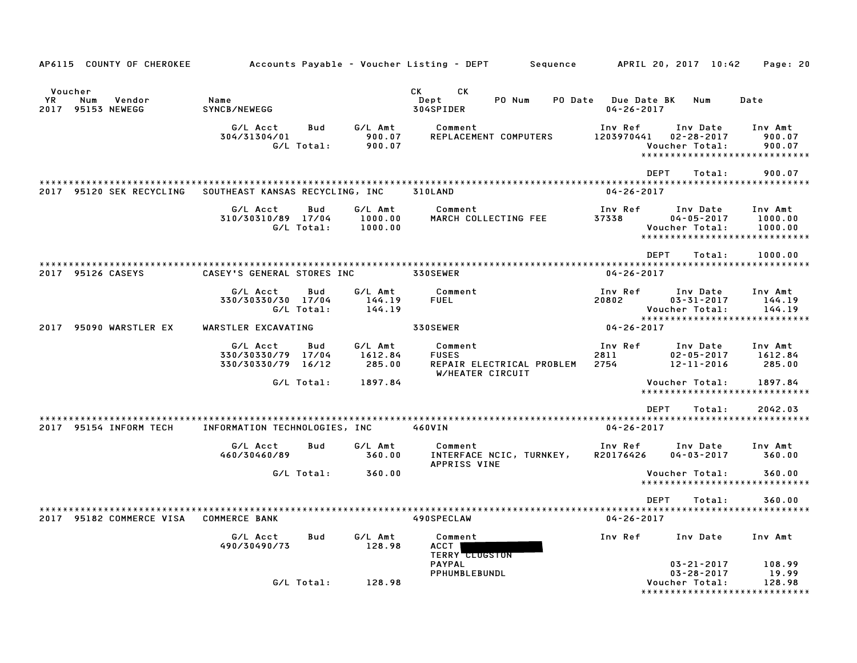| AP6115 COUNTY OF CHEROKEE                                  |                                                |                                              | Accounts Payable – Voucher Listing – DEPT<br>Sequence                    | APRIL 20, 2017 10:42                                                                                | Page: 20                                                        |
|------------------------------------------------------------|------------------------------------------------|----------------------------------------------|--------------------------------------------------------------------------|-----------------------------------------------------------------------------------------------------|-----------------------------------------------------------------|
| Voucher<br><b>YR</b><br>Num<br>Vendor<br>2017 95153 NEWEGG | Name<br>SYNCB/NEWEGG                           |                                              | CK<br>СK<br>Dept<br>PO Num<br>304SPIDER                                  | PO Date Due Date BK<br>Num<br>$04 - 26 - 2017$                                                      | Date                                                            |
|                                                            | G/L Acct<br>304/31304/01<br>G/L Total:         | G/L Amt<br>Bud<br>900.07<br>900.07           | Comment<br>REPLACEMENT COMPUTERS                                         | Inv Ref<br>Inv Date<br>1203970441<br>$02 - 28 - 2017$<br>Voucher Total:                             | Inv Amt<br>900.07<br>900.07<br>*****************************    |
| 2017 95120 SEK RECYCLING                                   | SOUTHEAST KANSAS RECYCLING, INC                |                                              | 310LAND                                                                  | <b>DEPT</b><br>Total:<br>$04 - 26 - 2017$                                                           | 900.07                                                          |
|                                                            | G/L Acct<br>310/30310/89 17/04<br>G/L Total:   | G/L Amt<br>Bud<br>1000.00<br>1000.00         | Comment<br>MARCH COLLECTING FEE                                          | Inv Ref<br>Inv Date<br>37338<br>$04 - 05 - 2017$<br>Voucher Total:                                  | Inv Amt<br>1000.00<br>1000.00<br>****************************** |
| 2017 95126 CASEYS                                          | CASEY'S GENERAL STORES INC                     |                                              | 330SEWER                                                                 | <b>DEPT</b><br>Total:<br>$04 - 26 - 2017$                                                           | 1000.00                                                         |
|                                                            | G/L Acct<br>330/30330/30 17/04<br>G/L Total:   | Bud<br>G/L Amt<br>144.19<br>144.19           | Comment<br><b>FUEL</b>                                                   | Inv Ref<br>Inv Date<br>20802<br>$03 - 31 - 2017$<br>Voucher Total:<br>***************************** | Inv Amt<br>144.19<br>144.19                                     |
| 2017 95090 WARSTLER EX                                     | WARSTLER EXCAVATING                            |                                              | <b>330SEWER</b>                                                          | $04 - 26 - 2017$                                                                                    |                                                                 |
|                                                            | G/L Acct<br>330/30330/79 17/04<br>330/30330/79 | G/L Amt<br>Bud<br>1612.84<br>16/12<br>285.00 | Comment<br><b>FUSES</b><br>REPAIR ELECTRICAL PROBLEM<br>W/HEATER CIRCUIT | Inv Ref<br>Inv Date<br>2811<br>$02 - 05 - 2017$<br>2754<br>12-11-2016                               | Inv Amt<br>1612.84<br>285.00                                    |
|                                                            | G/L Total:                                     | 1897.84                                      |                                                                          | Voucher Total:                                                                                      | 1897.84<br>*****************************                        |
|                                                            |                                                |                                              |                                                                          | <b>DEPT</b><br>Total:                                                                               | 2042.03                                                         |
| 2017 95154 INFORM TECH                                     | INFORMATION TECHNOLOGIES, INC                  |                                              | 460VIN                                                                   | $04 - 26 - 2017$                                                                                    |                                                                 |
|                                                            | G/L Acct<br>460/30460/89                       | G/L Amt<br>Bud<br>360.00                     | Comment<br>INTERFACE NCIC, TURNKEY,<br>APPRISS VINE                      | Inv Ref<br>Inv Date<br>R20176426<br>$04 - 03 - 2017$                                                | Inv Amt<br>360.00                                               |
|                                                            | G/L Total:                                     | 360.00                                       |                                                                          | Voucher Total:<br>*****************************                                                     | 360.00                                                          |
|                                                            |                                                |                                              |                                                                          | <b>DEPT</b><br>Total:                                                                               | 360.00                                                          |
| 2017 95182 COMMERCE VISA                                   | <b>COMMERCE BANK</b>                           |                                              | 490SPECLAW                                                               | $04 - 26 - 2017$                                                                                    |                                                                 |
|                                                            | G/L Acct<br>490/30490/73                       | Bud<br>G/L Amt<br>128.98                     | Comment<br><b>ACCT</b><br><b>TERRY CLUGSTON</b>                          | Inv Ref<br>Inv Date                                                                                 | Inv Amt                                                         |
|                                                            | G/L Total:                                     | 128.98                                       | <b>PAYPAL</b><br>PPHUMBLEBUNDL                                           | $03 - 21 - 2017$<br>$03 - 28 - 2017$<br>Voucher Total:                                              | 108.99<br>19.99<br>128.98<br>*****************************      |